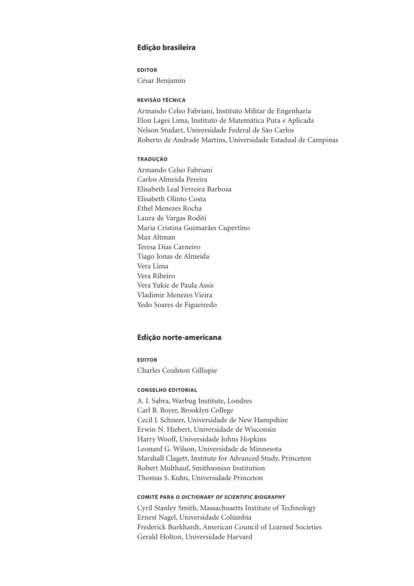# Edição brasileira

# EDITOR César Benjamin

### REVISÃO TÉCNICA

Armando Celso Fabriani, Instituto Militar de Engenharia Elon Lages Lima, Instituto de Matemática Pura e Aplicada Nelson Studart, Universidade Federal de São Carlos Roberto de Andrade Martins, Universidade Estadual de Campinas

# TRADUÇÃO

Armando Celso Fabriani Carlos Almeida Pereira Elisabeth Leal Ferreira Barbosa Elisabeth Olinto Costa Ethel Menezes Rocha Laura de Vargas Roditi Maria Cristina Guimarães Cupertino Max Altman Teresa Dias Carneiro Tiago Jonas de Almeida Vera Lima Vera Ribeiro Vera Yukie de Paula Assis Vladimir Menezes Vieira Yedo Soares de Figueiredo

### Edição norte-americana

# EDITOR Charles Coulston Gillispie

### CONSELHO EDITORIAL

A. I. Sabra, Warbug Institute, Londres Carl B. Boyer, Brooklyn College Cecil J. Schneer, Universidade de New Hampshire Erwin N. Hiebert, Universidade de Wisconsin Harry Woolf, Universidade Johns Hopkins Leonard G. Wilson, Universidade de Minnesota Marshall Clagett, Institute for Advanced Study, Princeton Robert Multhauf, Smithsonian Institution Thomas S. Kuhn, Universidade Princeton

### COMITÊ PARA O DICTIONARY OF SCIENTIFIC BIOGRAPHY

Cyril Stanley Smith, Massachusetts Institute of Technology Ernest Nagel, Universidade Colúmbia Frederick Burkhardt, American Council of Learned Societies Gerald Holton, Universidade Harvard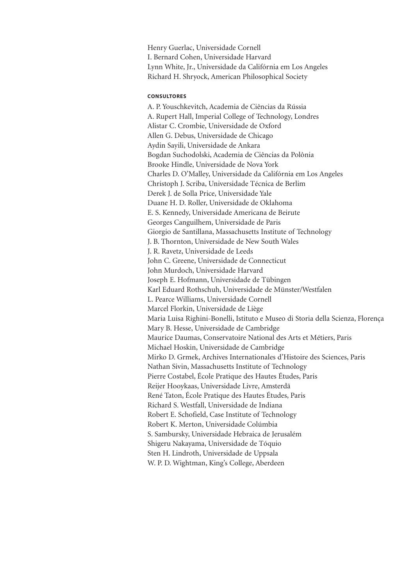Henry Guerlac, Universidade Cornell I. Bernard Cohen, Universidade Harvard Lynn White, Jr., Universidade da Califórnia em Los Angeles Richard H. Shryock, American Philosophical Society

# **CONSULTORES**

A. P. Youschkevitch, Academia de Ciências da Rússia A. Rupert Hall, Imperial College of Technology, Londres Alistar C. Crombie, Universidade de Oxford Allen G. Debus, Universidade de Chicago Aydin Sayili, Universidade de Ankara Bogdan Suchodolski, Academia de Ciências da Polônia Brooke Hindle, Universidade de Nova York Charles D. O'Malley, Universidade da Califórnia em Los Angeles Christoph J. Scriba, Universidade Técnica de Berlim Derek J. de Solla Price, Universidade Yale Duane H. D. Roller, Universidade de Oklahoma E. S. Kennedy, Universidade Americana de Beirute Georges Canguilhem, Universidade de Paris Giorgio de Santillana, Massachusetts Institute of Technology J. B. Thornton, Universidade de New South Wales J. R. Ravetz, Universidade de Leeds John C. Greene, Universidade de Connecticut John Murdoch, Universidade Harvard Joseph E. Hofmann, Universidade de Tübingen Karl Eduard Rothschuh, Universidade de Münster/Westfalen L. Pearce Williams, Universidade Cornell Marcel Florkin, Universidade de Liège Maria Luisa Righini-Bonelli, Istituto e Museo di Storia della Scienza, Florença Mary B. Hesse, Universidade de Cambridge Maurice Daumas, Conservatoire National des Arts et Métiers, Paris Michael Hoskin, Universidade de Cambridge Mirko D. Grmek, Archives Internationales d'Histoire des Sciences, Paris Nathan Sivin, Massachusetts Institute of Technology Pierre Costabel, École Pratique des Hautes Études, Paris Reijer Hooykaas, Universidade Livre, Amsterdã René Taton, École Pratique des Hautes Études, Paris Richard S. Westfall, Universidade de Indiana Robert E. Schofield, Case Institute of Technology Robert K. Merton, Universidade Colúmbia S. Sambursky, Universidade Hebraica de Jerusalém Shigeru Nakayama, Universidade de Tóquio Sten H. Lindroth, Universidade de Uppsala W. P. D. Wightman, King's College, Aberdeen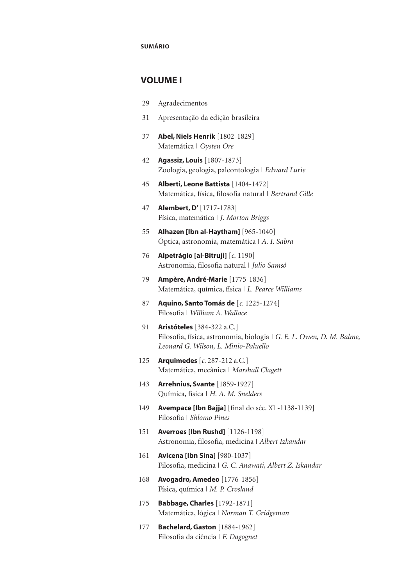### SUMÁRIO

# VOLUME I

- 29 Agradecimentos
- 31 Apresentação da edição brasileira
- 37 Abel, Niels Henrik [1802-1829] Matemática | *Oysten Ore*
- 42 Agassiz, Louis [1807-1873] Zoologia, geologia, paleontologia | *Edward Lurie*
- 45 Alberti, Leone Battista [1404-1472] Matemática, física, filosofia natural | *Bertrand Gille*
- 47 Alembert, D' [1717-1783] Física, matemática | *J. Morton Briggs*
- 55 Alhazen [Ibn al-Haytham] [965-1040] Óptica, astronomia, matemática | *A. I. Sabra*
- 76 Alpetrágio [al-Bitruji] [*c*. 1190] Astronomia, filosofia natural | *Julio Samsó*
- 79 Ampère, André-Marie [1775-1836] Matemática, química, física | *L. Pearce Williams*
- 87 Aquino, Santo Tomás de [*c*. 1225-1274] Filosofia | *William A. Wallace*
- 91 **Aristóteles** [384-322 a.C.] Filosofia, física, astronomia, biologia | *G. E. L. Owen, D. M. Balme, Leonard G. Wilson, L. Minio-Paluello*
- 125 Arquimedes [*c*. 287-212 a.C.] Matemática, mecânica | *Marshall Clagett*
- 143 Arrehnius, Svante [1859-1927] Química, física | *H. A. M. Snelders*
- 149 Avempace [Ibn Bajja] [final do séc. XI -1138-1139] Filosofia | *Shlomo Pines*
- 151 Averroes [Ibn Rushd] [1126-1198] Astronomia, filosofia, medicina | *Albert Izkandar*
- 161 **Avicena [Ibn Sina]** [980-1037] Filosofia, medicina | *G. C. Anawati, Albert Z. Iskandar*
- 168 Avogadro, Amedeo [1776-1856] Física, química | *M. P. Crosland*
- 175 Babbage, Charles [1792-1871] Matemática, lógica | *Norman T. Gridgeman*
- 177 **Bachelard, Gaston** [1884-1962] Filosofia da ciência | *F. Dagognet*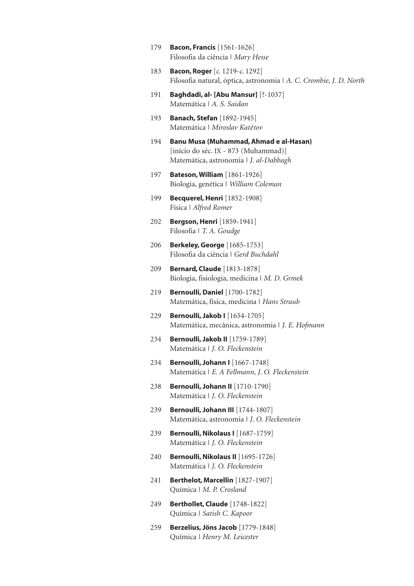- 179 **Bacon, Francis** [1561-1626] Filosofia da ciência | *Mary Hesse*
- 183 Bacon, Roger [*c*. 1219-*c*. 1292] Filosofia natural, óptica, astronomia | *A. C. Crombie, J. D. North*
- 191 Baghdadi, al- [Abu Mansur] [?-1037] Matemática | *A. S. Saidan*
- 193 **Banach, Stefan** [1892-1945] Matemática | *Miroslav Katětov*
- 194 Banu Musa (Muhammad, Ahmad e al-Hasan) [início do séc. IX - 873 (Muhammad)] Matemática, astronomia | *J. al-Dabbagh*
- 197 Bateson, William [1861-1926] Biologia, genética | *William Coleman*
- 199 Becquerel, Henri [1852-1908] Física | *Alfred Romer*
- 202 **Bergson, Henri** [1859-1941] Filosofia | *T. A. Goudge*
- 206 Berkeley, George [1685-1753] Filosofia da ciência | *Gerd Buchdahl*
- 209 Bernard, Claude [1813-1878] Biologia, fisiologia, medicina | *M. D. Grmek*
- 219 Bernoulli, Daniel [1700-1782] Matemática, física, medicina | *Hans Straub*
- 229 Bernoulli, Jakob I [1654-1705] Matemática, mecânica, astronomia | *J. E. Hofmann*
- 234 **Bernoulli, Jakob II** [1759-1789] Matemática | *J. O. Fleckenstein*
- 234 **Bernoulli, Johann I** [1667-1748] Matemática | *E. A Fellmann, J. O. Fleckenstein*
- 238 Bernoulli, Johann II [1710-1790] Matemática | *J. O. Fleckenstein*
- 239 **Bernoulli, Johann III** [1744-1807] Matemática, astronomia | *J. O. Fleckenstein*
- 239 **Bernoulli, Nikolaus I** [1687-1759] Matemática | *J. O. Fleckenstein*
- 240 Bernoulli, Nikolaus II [1695-1726] Matemática | *J. O. Fleckenstein*
- 241 **Berthelot, Marcellin** [1827-1907] Química | *M. P. Crosland*
- 249 Berthollet, Claude [1748-1822] Química | *Satish C. Kapoor*
- 259 Berzelius, Jöns Jacob [1779-1848] Química | *Henry M. Leicester*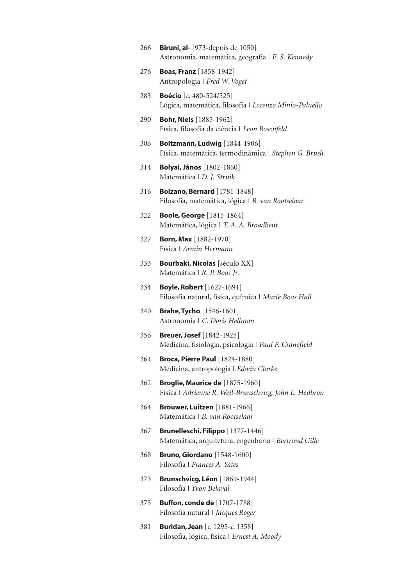- 266 **Biruni, al-** [973-depois de 1050] Astronomia, matemática, geografia | *E. S. Kennedy* 276 Boas, Franz [1858-1942] Antropologia | *Fred W. Voget* 283 Boécio [*c*. 480-524/525] Lógica, matemática, filosofia | *Lorenzo Minio-Paluello* 290 Bohr, Niels [1885-1962] Física, filosofia da ciência | *Leon Rosenfeld* 306 Boltzmann, Ludwig [1844-1906] Física, matemática, termodinâmica | *Stephen G. Brush* 314 Bolyai, János [1802-1860] Matemática | *D. J. Struik* 316 Bolzano, Bernard [1781-1848] Filosofia, matemática, lógica | *B. van Rootselaar* 322 Boole, George [1815-1864] Matemática, lógica | *T. A. A. Broadbent* 327 Born, Max [1882-1970] Física | *Armin Hermann* 333 **Bourbaki, Nicolas** [século XX] Matemática | *R. P. Boas Jr.* 334 Boyle, Robert [1627-1691] Filosofia natural, física, química | *Marie Boas Hall* 340 Brahe, Tycho [1546-1601] Astronomia | *C. Doris Hellman* 356 Breuer, Josef [1842-1925] Medicina, fisiologia, psicologia | *Paul F. Cranefield* 361 Broca, Pierre Paul [1824-1880] Medicina, antropologia | *Edwin Clarke*
- 362 Broglie, Maurice de [1875-1960] Física | *Adrienne R. Weil-Brunschvicg, John L. Heilbron*
- 364 Brouwer, Luitzen [1881-1966] Matemática | *B. van Rootselaar*
- 367 Brunelleschi, Filippo [1377-1446] Matemática, arquitetura, engenharia | *Bertrand Gille*
- 368 Bruno, Giordano [1548-1600] Filosofia | *Frances A. Yates*
- 373 Brunschvicg, Léon [1869-1944] Filosofia | *Yvon Belaval*
- 375 Buffon, conde de [1707-1788] Filosofia natural | *Jacques Roger*
- 381 Buridan, Jean [*c*. 1295-*c*. 1358] Filosofia, lógica, física | *Ernest A. Moody*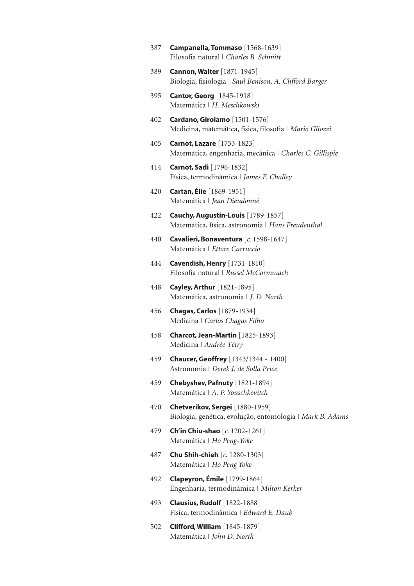- 387 Campanella, Tommaso [1568-1639] Filosofia natural | *Charles B. Schmitt*
- 389 Cannon, Walter [1871-1945] Biologia, fisiologia | *Saul Benison, A. Clifford Barger*
- 395 Cantor, Georg [1845-1918] Matemática | *H. Meschkowski*
- 402 Cardano, Girolamo [1501-1576] Medicina, matemática, física, filosofia | *Mario Gliozzi*
- 405 Carnot, Lazare [1753-1823] Matemática, engenharia, mecânica | *Charles C. Gillispie*
- 414 Carnot, Sadi [1796-1832] Física, termodinâmica | *James F. Challey*
- 420 Cartan, Élie [1869-1951] Matemática | *Jean Dieudonné*
- 422 Cauchy, Augustin-Louis [1789-1857] Matemática, física, astronomia | *Hans Freudenthal*
- 440 Cavalieri, Bonaventura [*c*. 1598-1647] Matemática | *Ettore Carruccio*
- 444 Cavendish, Henry [1731-1810] Filosofia natural | *Russel McCormmach*
- 448 Cayley, Arthur [1821-1895] Matemática, astronomia | *J. D. North*
- 456 Chagas, Carlos [1879-1934] Medicina | *Carlos Chagas Filho*
- 458 Charcot, Jean-Martin [1825-1893] Medicina | *Andrée Tétry*
- 459 **Chaucer, Geoffrey** [1343/1344 1400] Astronomia | *Derek J. de Solla Price*
- 459 Chebyshev, Pafnuty [1821-1894] Matemática | *A. P. Youschkevitch*
- 470 Chetverikov, Sergei [1880-1959] Biologia, genética, evolução, entomologia | *Mark B. Adams*
- 479 Ch'in Chiu-shao [*c*. 1202-1261] Matemática | *Ho Peng-Yoke*
- 487 Chu Shih-chieh [*c.* 1280-1303] Matemática | *Ho Peng Yoke*
- 492 **Clapeyron, Émile** [1799-1864] Engenharia, termodinâmica | *Milton Kerker*
- 493 Clausius, Rudolf [1822-1888] Física, termodinâmica | *Edward E. Daub*
- 502 Clifford, William [1845-1879] Matemática | *John D. North*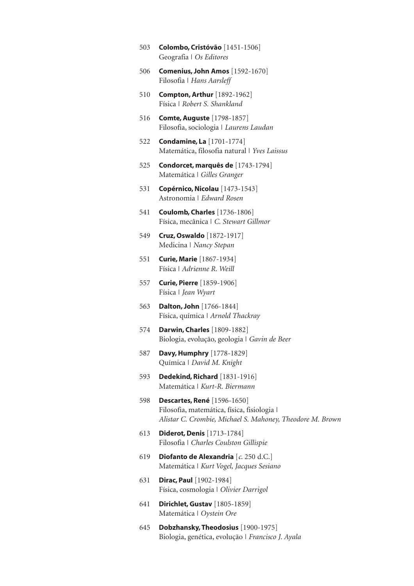- 503 Colombo, Cristóvão [1451-1506] Geografia | *Os Editores*
- 506 Comenius, John Amos [1592-1670] Filosofia | *Hans Aarsleff*
- 510 Compton, Arthur [1892-1962] Física | *Robert S. Shankland*
- 516 Comte, Auguste [1798-1857] Filosofia, sociologia | *Laurens Laudan*
- 522 Condamine, La [1701-1774] Matemática, filosofia natural | *Yves Laissus*
- 525 Condorcet, marquês de [1743-1794] Matemática | *Gilles Granger*
- 531 Copérnico, Nicolau [1473-1543] Astronomia | *Edward Rosen*
- 541 Coulomb, Charles [1736-1806] Física, mecânica | *C. Stewart Gillmor*
- 549 Cruz, Oswaldo [1872-1917] Medicina | *Nancy Stepan*
- 551 Curie, Marie [1867-1934] Física | *Adrienne R. Weill*
- 557 **Curie, Pierre** [1859-1906] Física | *Jean Wyart*
- 563 **Dalton, John** [1766-1844] Física, química | *Arnold Thackray*
- 574 Darwin, Charles [1809-1882] Biologia, evolução, geologia | *Gavin de Beer*
- 587 Davy, Humphry [1778-1829] Química | *David M. Knight*
- 593 Dedekind, Richard [1831-1916] Matemática | *Kurt-R. Biermann*
- 598 Descartes, René [1596-1650] Filosofia, matemática, física, fisiologia | *Alistar C. Crombie, Michael S. Mahoney, Theodore M. Brown*
- 613 Diderot, Denis [1713-1784] Filosofia | *Charles Coulston Gillispie*
- 619 Diofanto de Alexandria [*c*. 250 d.C.] Matemática | *Kurt Vogel, Jacques Sesiano*
- 631 Dirac, Paul [1902-1984] Física, cosmologia | *Olivier Darrigol*
- 641 Dirichlet, Gustav [1805-1859] Matemática | *Oystein Ore*
- 645 Dobzhansky, Theodosius [1900-1975] Biologia, genética, evolução | *Francisco J. Ayala*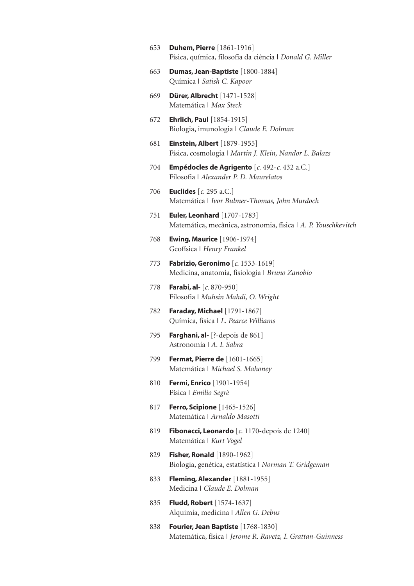- 653 Duhem, Pierre [1861-1916] Física, química, filosofia da ciência | *Donald G. Miller*
- 663 Dumas, Jean-Baptiste [1800-1884] Química | *Satish C. Kapoor*
- 669 Dürer, Albrecht [1471-1528] Matemática | *Max Steck*
- 672 Ehrlich, Paul [1854-1915] Biologia, imunologia | *Claude E. Dolman*
- 681 Einstein, Albert [1879-1955] Física, cosmologia | *Martin J. Klein, Nandor L. Balazs*
- 704 Empédocles de Agrigento [*c*. 492-*c*. 432 a.C.] Filosofia | *Alexander P. D. Maurelatos*
- 706 Euclides [*c*. 295 a.C.] Matemática | *Ivor Bulmer-Thomas, John Murdoch*
- 751 Euler, Leonhard [1707-1783] Matemática, mecânica, astronomia, física | *A. P. Youschkevitch*
- 768 Ewing, Maurice [1906-1974] Geofísica | *Henry Frankel*
- 773 Fabrizio, Geronimo [*c*. 1533-1619] Medicina, anatomia, fisiologia | *Bruno Zanobio*
- 778 Farabi, al- [*c*. 870-950] Filosofia | *Muhsin Mahdi, O. Wright*
- 782 Faraday, Michael [1791-1867] Química, física | *L. Pearce Williams*
- 795 **Farghani, al-** [?-depois de 861] Astronomia | *A. I. Sabra*
- 799 Fermat, Pierre de [1601-1665] Matemática | *Michael S. Mahoney*
- 810 Fermi, Enrico [1901-1954] Física | *Emilio Segrè*
- 817 **Ferro, Scipione** [1465-1526] Matemática | *Arnaldo Masotti*
- 819 Fibonacci, Leonardo [*c*. 1170-depois de 1240] Matemática | *Kurt Vogel*
- 829 **Fisher, Ronald** [1890-1962] Biologia, genética, estatística | *Norman T. Gridgeman*
- 833 **Fleming, Alexander** [1881-1955] Medicina | *Claude E. Dolman*
- 835 **Fludd, Robert** [1574-1637] Alquimia, medicina | *Allen G. Debus*
- 838 **Fourier, Jean Baptiste** [1768-1830] Matemática, física | *Jerome R. Ravetz, I. Grattan-Guinness*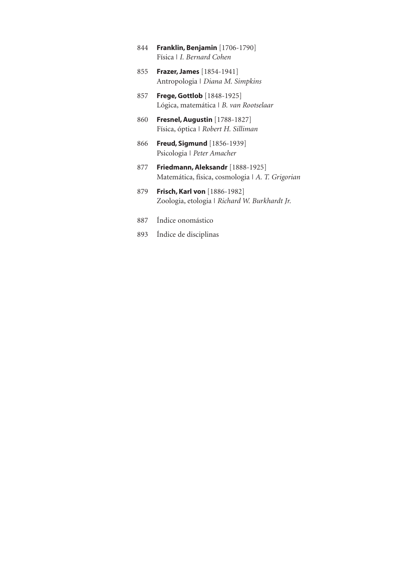- 844 Franklin, Benjamin [1706-1790] Física | *I. Bernard Cohen*
- 855 Frazer, James [1854-1941] Antropologia | *Diana M. Simpkins*
- 857 **Frege, Gottlob** [1848-1925] Lógica, matemática | *B. van Rootselaar*
- 860 Fresnel, Augustin [1788-1827] Física, óptica | *Robert H. Silliman*
- 866 **Freud, Sigmund** [1856-1939] Psicologia | *Peter Amacher*
- 877 **Friedmann, Aleksandr** [1888-1925] Matemática, física, cosmologia | *A. T. Grigorian*
- 879 Frisch, Karl von [1886-1982] Zoologia, etologia | *Richard W. Burkhardt Jr.*
- 887 Índice onomástico
- 893 Índice de disciplinas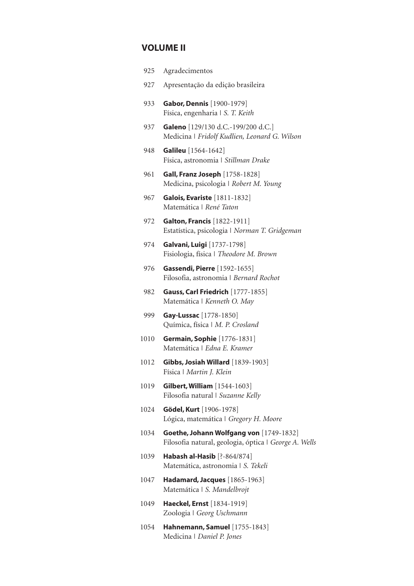# VOLUME II

| 925  | Agradecimentos                                                                                   |
|------|--------------------------------------------------------------------------------------------------|
| 927  | Apresentação da edição brasileira                                                                |
| 933  | <b>Gabor, Dennis</b> [1900-1979]<br>Física, engenharia   S. T. Keith                             |
| 937  | Galeno [129/130 d.C.-199/200 d.C.]<br>Medicina   Fridolf Kudlien, Leonard G. Wilson              |
| 948  | <b>Galileu</b> [1564-1642]<br>Física, astronomia   Stillman Drake                                |
| 961  | <b>Gall, Franz Joseph</b> [1758-1828]<br>Medicina, psicologia   Robert M. Young                  |
| 967  | Galois, Evariste [1811-1832]<br>Matemática   René Taton                                          |
| 972  | <b>Galton, Francis</b> [1822-1911]<br>Estatística, psicologia   Norman T. Gridgeman              |
| 974  | Galvani, Luigi [1737-1798]<br>Fisiologia, física   Theodore M. Brown                             |
| 976  | <b>Gassendi, Pierre</b> [1592-1655]<br>Filosofia, astronomia   Bernard Rochot                    |
| 982  | Gauss, Carl Friedrich [1777-1855]<br>Matemática   Kenneth O. May                                 |
| 999  | Gay-Lussac [1778-1850]<br>Química, física   M. P. Crosland                                       |
| 1010 | <b>Germain, Sophie</b> [1776-1831]<br>Matemática   Edna E. Kramer                                |
| 1012 | Gibbs, Josiah Willard [1839-1903]<br>Física   Martin J. Klein                                    |
| 1019 | <b>Gilbert, William</b> [1544-1603]<br>Filosofia natural   Suzanne Kelly                         |
| 1024 | Gödel, Kurt [1906-1978]<br>Lógica, matemática   Gregory H. Moore                                 |
| 1034 | Goethe, Johann Wolfgang von [1749-1832]<br>Filosofia natural, geologia, óptica   George A. Wells |
| 1039 | Habash al-Hasib [?-864/874]<br>Matemática, astronomia   S. Tekeli                                |
| 1047 | Hadamard, Jacques [1865-1963]<br>Matemática   S. Mandelbrojt                                     |

- 1049 Haeckel, Ernst [1834-1919] Zoologia | *Georg Uschmann*
- 1054 Hahnemann, Samuel [1755-1843] Medicina | *Daniel P. Jones*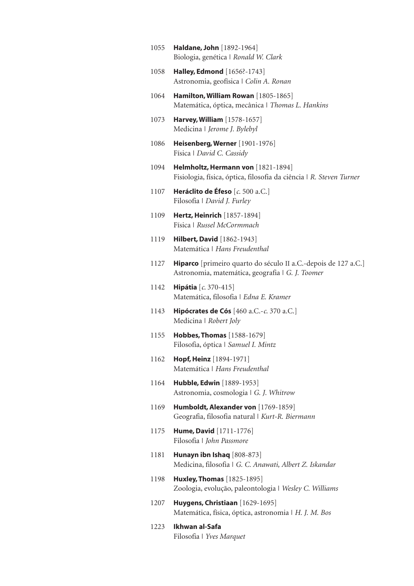- 1055 Haldane, John [1892-1964] Biologia, genética | *Ronald W. Clark*
- 1058 **Halley, Edmond** [1656?-1743] Astronomia, geofísica | *Colin A. Ronan*
- 1064 Hamilton, William Rowan [1805-1865] Matemática, óptica, mecânica | *Thomas L. Hankins*
- 1073 Harvey, William [1578-1657] Medicina | *Jerome J. Bylebyl*
- 1086 Heisenberg, Werner [1901-1976] Física | *David C. Cassidy*
- 1094 Helmholtz, Hermann von [1821-1894] Fisiologia, física, óptica, filosofia da ciência | *R. Steven Turner*
- 1107 Heráclito de Éfeso [*c*. 500 a.C.] Filosofia | *David J. Furley*
- 1109 Hertz, Heinrich [1857-1894] Física | *Russel McCormmach*
- 1119 **Hilbert, David** [1862-1943] Matemática | *Hans Freudenthal*
- 1127 Hiparco [primeiro quarto do século II a.C.-depois de 127 a.C.] Astronomia, matemática, geografia | *G. J. Toomer*
- 1142 Hipátia [*c*. 370-415] Matemática, filosofia | *Edna E. Kramer*
- 1143 Hipócrates de Cós [460 a.C.-*c*. 370 a.C.] Medicina | *Robert Joly*
- 1155 **Hobbes, Thomas** [1588-1679] Filosofia, óptica | *Samuel I. Mintz*
- 1162 Hopf, Heinz [1894-1971] Matemática | *Hans Freudenthal*
- 1164 Hubble, Edwin [1889-1953] Astronomia, cosmologia | *G. J. Whitrow*
- 1169 Humboldt, Alexander von [1769-1859] Geografia, filosofia natural | *Kurt-R. Biermann*
- 1175 **Hume, David** [1711-1776] Filosofia | *John Passmore*
- 1181 Hunayn ibn Ishaq [808-873] Medicina, filosofia | *G. C. Anawati, Albert Z. Iskandar*
- 1198 **Huxley, Thomas** [1825-1895] Zoologia, evolução, paleontologia | *Wesley C. Williams*
- 1207 **Huygens, Christiaan** [1629-1695] Matemática, física, óptica, astronomia | *H. J. M. Bos*
- 1223 Ikhwan al-Safa Filosofia | *Yves Marquet*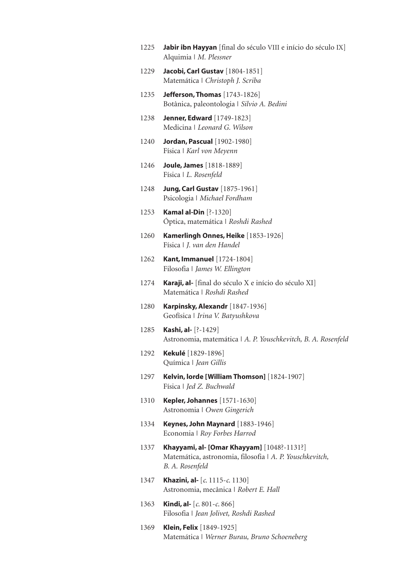- 1225 **Jabir ibn Hayyan** [final do século VIII e início do século IX] Alquimia | *M. Plessner*
- 1229 Jacobi, Carl Gustav [1804-1851] Matemática | *Christoph J. Scriba*
- 1235 **Jefferson, Thomas** [1743-1826] Botânica, paleontologia | *Silvio A. Bedini*
- 1238 Jenner, Edward [1749-1823] Medicina | *Leonard G. Wilson*
- 1240 **Jordan, Pascual** [1902-1980] Física | *Karl von Meyenn*
- 1246 Joule, James [1818-1889] Física | *L. Rosenfeld*
- 1248 **Jung, Carl Gustav** [1875-1961] Psicologia | *Michael Fordham*
- 1253 Kamal al-Din [?-1320] Óptica, matemática | *Roshdi Rashed*
- 1260 Kamerlingh Onnes, Heike [1853-1926] Física | *J. van den Handel*
- 1262 **Kant, Immanuel** [1724-1804] Filosofia | *James W. Ellington*
- 1274 Karaji, al- [final do século X e início do século XI] Matemática | *Roshdi Rashed*
- 1280 **Karpinsky, Alexandr** [1847-1936] Geofísica | *Irina V. Batyushkova*
- 1285 **Kashi, al-** [?-1429] Astronomia, matemática | *A. P. Youschkevitch, B. A. Rosenfeld*
- 1292 Kekulé [1829-1896] Química | *Jean Gillis*
- 1297 Kelvin, lorde [William Thomson] [1824-1907] Física | *Jed Z. Buchwald*
- 1310 Kepler, Johannes [1571-1630] Astronomia | *Owen Gingerich*
- 1334 Keynes, John Maynard [1883-1946] Economia | *Roy Forbes Harrod*
- 1337 Khayyami, al- [Omar Khayyam] [1048?-1131?] Matemática, astronomia, filosofia | *A. P. Youschkevitch, B. A. Rosenfeld*
- 1347 Khazini, al- [*c*. 1115-*c*. 1130] Astronomia, mecânica | *Robert E. Hall*
- 1363 Kindi, al- [*c*. 801-*c*. 866] Filosofia | *Jean Jolivet, Roshdi Rashed*
- 1369 Klein, Felix [1849-1925] Matemática | *Werner Burau, Bruno Schoeneberg*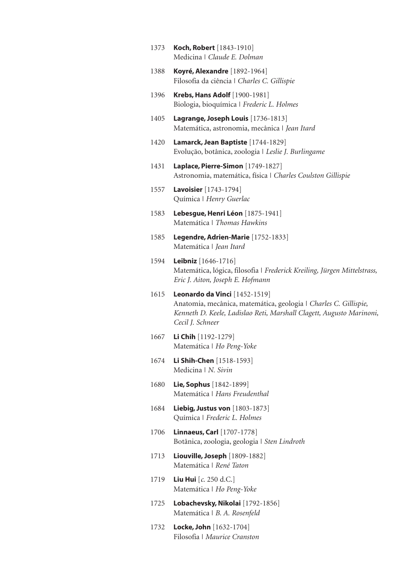- 1373 **Koch, Robert** [1843-1910] Medicina | *Claude E. Dolman*
- 1388 Koyré, Alexandre [1892-1964] Filosofia da ciência | *Charles C. Gillispie*
- 1396 **Krebs, Hans Adolf** [1900-1981] Biologia, bioquímica | *Frederic L. Holmes*
- 1405 Lagrange, Joseph Louis [1736-1813] Matemática, astronomia, mecânica | *Jean Itard*
- 1420 Lamarck, Jean Baptiste [1744-1829] Evolução, botânica, zoologia | *Leslie J. Burlingame*
- 1431 **Laplace, Pierre-Simon** [1749-1827] Astronomia, matemática, física | *Charles Coulston Gillispie*
- 1557 Lavoisier [1743-1794] Química | *Henry Guerlac*
- 1583 Lebesgue, Henri Léon [1875-1941] Matemática | *Thomas Hawkins*
- 1585 Legendre, Adrien-Marie [1752-1833] Matemática | *Jean Itard*
- 1594 Leibniz [1646-1716] Matemática, lógica, filosofia | *Frederick Kreiling, Jürgen Mittelstrass, Eric J. Aiton, Joseph E. Hofmann*
- 1615 Leonardo da Vinci [1452-1519] Anatomia, mecânica, matemática, geologia | *Charles C. Gillispie, Kenneth D. Keele, Ladislao Reti, Marshall Clagett, Augusto Marinoni, Cecil J. Schneer*
- 1667 Li Chih [1192-1279] Matemática | *Ho Peng-Yoke*
- 1674 Li Shih-Chen [1518-1593] Medicina | *N. Sivin*
- 1680 Lie, Sophus [1842-1899] Matemática | *Hans Freudenthal*
- 1684 **Liebig, Justus von** [1803-1873] Química | *Frederic L. Holmes*
- 1706 **Linnaeus, Carl** [1707-1778] Botânica, zoologia, geologia | *Sten Lindroth*
- 1713 Liouville, Joseph [1809-1882] Matemática | *René Taton*
- 1719 Liu Hui [*c*. 250 d.C.] Matemática | *Ho Peng-Yoke*
- 1725 Lobachevsky, Nikolai [1792-1856] Matemática | *B. A. Rosenfeld*
- 1732 **Locke, John** [1632-1704] Filosofia | *Maurice Cranston*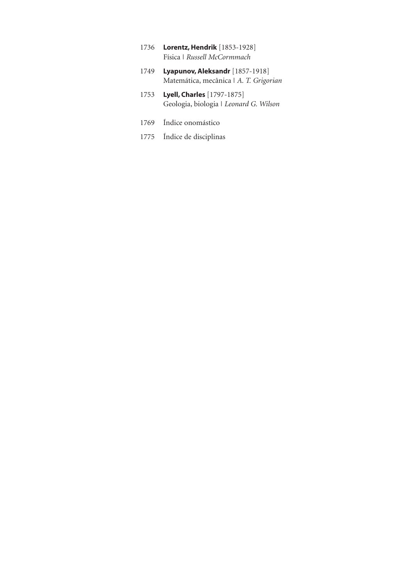- 1736 Lorentz, Hendrik [1853-1928] Física | *Russell McCormmach*
- 1749 **Lyapunov, Aleksandr** [1857-1918] Matemática, mecânica | *A. T. Grigorian*
- 1753 **Lyell, Charles** [1797-1875] Geologia, biologia | *Leonard G. Wilson*
- 1769 Índice onomástico
- 1775 Índice de disciplinas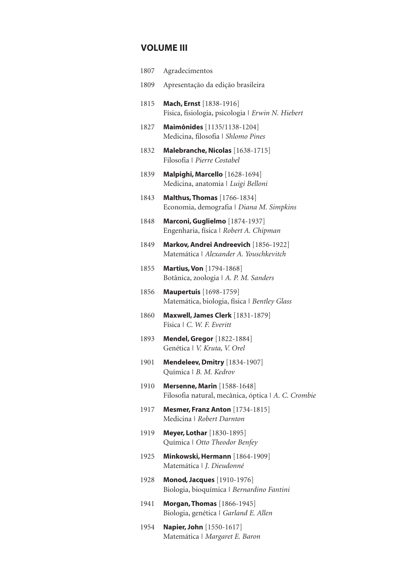# VOLUME III

| 1807 | Agradecimentos                                                                            |
|------|-------------------------------------------------------------------------------------------|
| 1809 | Apresentação da edição brasileira                                                         |
| 1815 | Mach, Ernst [1838-1916]<br>Física, fisiologia, psicologia   Erwin N. Hiebert              |
| 1827 | Maimônides [1135/1138-1204]<br>Medicina, filosofia   Shlomo Pines                         |
| 1832 | Malebranche, Nicolas [1638-1715]<br>Filosofia   Pierre Costabel                           |
| 1839 | Malpighi, Marcello [1628-1694]<br>Medicina, anatomia   Luigi Belloni                      |
| 1843 | <b>Malthus, Thomas</b> [1766-1834]<br>Economia, demografia   Diana M. Simpkins            |
| 1848 | Marconi, Guglielmo [1874-1937]<br>Engenharia, física   Robert A. Chipman                  |
| 1849 | Markov, Andrei Andreevich [1856-1922]<br>Matemática   Alexander A. Youschkevitch          |
| 1855 | <b>Martius, Von</b> [1794-1868]<br>Botânica, zoologia   A. P. M. Sanders                  |
| 1856 | <b>Maupertuis</b> [1698-1759]<br>Matemática, biologia, física   Bentley Glass             |
| 1860 | <b>Maxwell, James Clerk</b> [1831-1879]<br>Física   C. W. F. Everitt                      |
| 1893 | <b>Mendel, Gregor</b> [1822-1884]<br>Genética   V. Kruta, V. Orel                         |
| 1901 | <b>Mendeleev, Dmitry</b> [1834-1907]<br>Química   B. M. Kedrov                            |
| 1910 | <b>Mersenne, Marin</b> [1588-1648]<br>Filosofia natural, mecânica, óptica   A. C. Crombie |
| 1917 | Mesmer, Franz Anton [1734-1815]<br>Medicina   Robert Darnton                              |
| 1919 | <b>Meyer, Lothar</b> [1830-1895]<br>Química   Otto Theodor Benfey                         |
| 1925 | Minkowski, Hermann [1864-1909]<br>Matemática   J. Dieudonné                               |
| 1928 | <b>Monod, Jacques</b> [1910-1976]<br>Biologia, bioquímica   Bernardino Fantini            |
| 1941 | <b>Morgan, Thomas</b> [1866-1945]<br>Biologia, genética   Garland E. Allen                |

1954 **Napier, John** [1550-1617] Matemática | *Margaret E. Baron*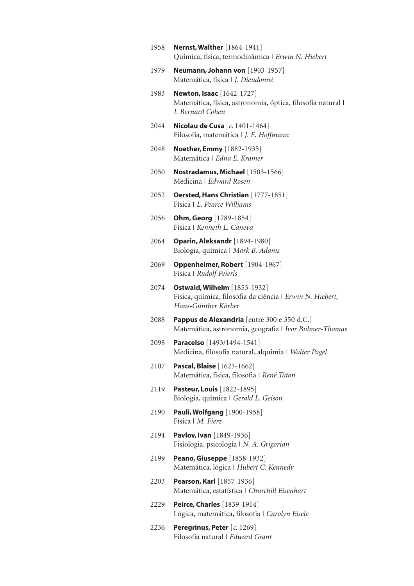1958 **Nernst, Walther** [1864-1941] Química, física, termodinâmica | *Erwin N. Hiebert* 1979 **Neumann, Johann von** [1903-1957] Matemática, física | *J. Dieudonné* 1983 **Newton, Isaac** [1642-1727] Matemática, física, astronomia, óptica, filosofia natural | *I. Bernard Cohen* 2044 Nicolau de Cusa [*c*. 1401-1464] Filosofia, matemática | *J. E. Hoffmann* 2048 **Noether, Emmy** [1882-1935] Matemática | *Edna E. Kramer* 2050 Nostradamus, Michael [1503-1566] Medicina | *Edward Rosen* 2052 **Oersted, Hans Christian** [1777-1851] Física | *L. Pearce Williams* 2056 Ohm, Georg [1789-1854] Física | *Kenneth L. Caneva* 2064 Oparin, Aleksandr [1894-1980] Biologia, química | *Mark B. Adams* 2069 Oppenheimer, Robert [1904-1967] Física | *Rudolf Peierls* 2074 Ostwald, Wilhelm [1853-1932] Física, química, filosofia da ciência | *Erwin N. Hiebert, Hans-Günther Körber* 2088 **Pappus de Alexandria** [entre 300 e 350 d.C.] Matemática, astronomia, geografia | *Ivor Bulmer-Thomas* 2098 **Paracelso** [1493/1494-1541] Medicina, filosofia natural, alquimia | *Walter Pagel* 2107 Pascal, Blaise [1623-1662] Matemática, física, filosofia | *René Taton* 2119 **Pasteur, Louis** [1822-1895] Biologia, química | *Gerald L. Geison* 2190 Pauli, Wolfgang [1900-1958] Física | *M. Fierz* 2194 **Pavlov, Ivan** [1849-1936] Fisiologia, psicologia | *N. A. Grigorian* 2199 **Peano, Giuseppe** [1858-1932] Matemática, lógica | *Hubert C. Kennedy* 2203 **Pearson, Karl** [1857-1936] Matemática, estatística | *Churchill Eisenhart* 2229 **Peirce, Charles** [1839-1914] Lógica, matemática, filosofia | *Carolyn Eisele* 2236 Peregrinus, Peter [*c*. 1269] Filosofia natural | *Edward Grant*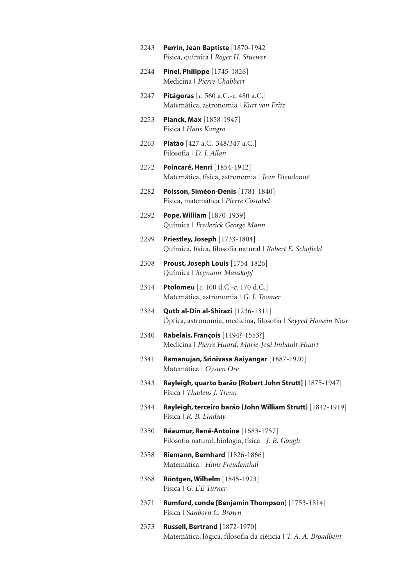| 2243 | Perrin, Jean Baptiste [1870-1942]<br>Física, química   Roger H. Stuewer                               |
|------|-------------------------------------------------------------------------------------------------------|
| 2244 | <b>Pinel, Philippe</b> [1745-1826]<br>Medicina   Pierre Chabbert                                      |
| 2247 | <b>Pitágoras</b> [ $c$ . 560 a.C.- $c$ . 480 a.C.]<br>Matemática, astronomia   Kurt von Fritz         |
| 2253 | <b>Planck, Max</b> [1858-1947]<br>Física   Hans Kangro                                                |
| 2263 | Platão [427 a.C.-348/347 a.C.]<br>Filosofia   D. J. Allan                                             |
| 2272 | <b>Poincaré, Henri</b> [1854-1912]<br>Matemática, física, astronomia   Jean Dieudonné                 |
| 2282 | Poisson, Siméon-Denis [1781-1840]<br>Física, matemática   Pierre Costabel                             |
| 2292 | Pope, William [1870-1939]<br>Química   Frederick George Mann                                          |
| 2299 | <b>Priestley, Joseph</b> [1733-1804]<br>Química, física, filosofia natural   Robert E. Schofield      |
| 2308 | Proust, Joseph Louis [1754-1826]<br>Química   Seymour Mauskopf                                        |
| 2314 | <b>Ptolomeu</b> [ $c$ . 100 d.C.- $c$ . 170 d.C.]<br>Matemática, astronomia   G. J. Toomer            |
| 2334 | Qutb al-Din al-Shirazi [1236-1311]<br>Óptica, astronomia, medicina, filosofia   Seyyed Hossein Nasr   |
| 2340 | <b>Rabelais, François</b> [1494?-1553?]<br>Medicina   Pierre Huard, Marie-José Imbault-Huart          |
| 2341 | Ramanujan, Srinivasa Aaiyangar [1887-1920]<br>Matemática   Oysten Ore                                 |
| 2343 | Rayleigh, quarto barão [Robert John Strutt] [1875-1947]<br>Física   Thadeus J. Trenn                  |
| 2344 | Rayleigh, terceiro barão [John William Strutt] [1842-1919]<br>Física   R. B. Lindsay                  |
| 2350 | Réaumur, René-Antoine [1683-1757]<br>Filosofia natural, biologia, física   J. B. Gough                |
| 2358 | <b>Riemann, Bernhard</b> [1826-1866]<br>Matemática   Hans Freudenthal                                 |
| 2368 | <b>Röntgen, Wilhelm</b> [1845-1923]<br>Física   G. L'E Turner                                         |
| 2371 | Rumford, conde [Benjamin Thompson] [1753-1814]<br>Física   Sanborn C. Brown                           |
| 2373 | <b>Russell, Bertrand</b> [1872-1970]<br>Matemática, lógica, filosofia da ciência   T. A. A. Broadbent |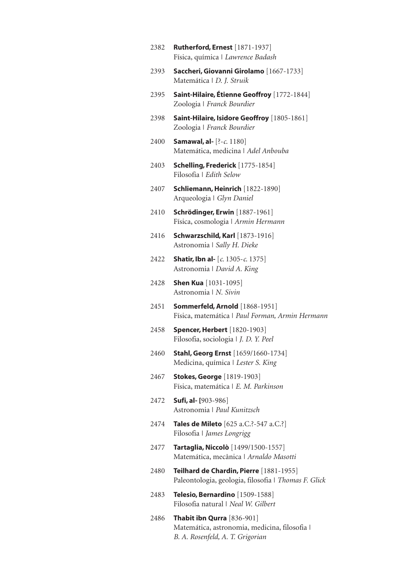2382 **Rutherford, Ernest** [1871-1937] Física, química | *Lawrence Badash* 2393 Saccheri, Giovanni Girolamo [1667-1733] Matemática | *D. J. Struik* 2395 Saint-Hilaire, Étienne Geoffroy [1772-1844] Zoologia | *Franck Bourdier* 2398 Saint-Hilaire, Isidore Geoffroy [1805-1861] Zoologia | *Franck Bourdier* 2400 Samawal, al- [?-*c*. 1180] Matemática, medicina | *Adel Anbouba* 2403 **Schelling, Frederick** [1775-1854] Filosofia | *Edith Selow* 2407 Schliemann, Heinrich [1822-1890] Arqueologia | *Glyn Daniel* 2410 **Schrödinger, Erwin** [1887-1961] Física, cosmologia | *Armin Hermann* 2416 **Schwarzschild, Karl** [1873-1916] Astronomia | *Sally H. Dieke* 2422 Shatir, Ibn al- [*c*. 1305-*c*. 1375] Astronomia | *David A. King* 2428 **Shen Kua** [1031-1095] Astronomia | *N. Sivin* 2451 Sommerfeld, Arnold [1868-1951] Física, matemática | *Paul Forman, Armin Hermann* 2458 **Spencer, Herbert** [1820-1903] Filosofia, sociologia | *J. D. Y. Peel* 2460 Stahl, Georg Ernst [1659/1660-1734] Medicina, química | *Lester S. King* 2467 **Stokes, George** [1819-1903] Física, matemática | *E. M. Parkinson* 2472 Sufi, al- [903-986] Astronomia | *Paul Kunitzsch* 2474 **Tales de Mileto** [625 a.C.?-547 a.C.?] Filosofia | *James Longrigg* 2477 **Tartaglia, Niccolò** [1499/1500-1557] Matemática, mecânica | *Arnaldo Masotti* 2480 Teilhard de Chardin, Pierre [1881-1955] Paleontologia, geologia, filosofia | *Thomas F. Glick* 2483 **Telesio, Bernardino** [1509-1588] Filosofia natural | *Neal W. Gilbert* 2486 Thabit ibn Qurra [836-901] Matemática, astronomia, medicina, filosofia | *B. A. Rosenfeld, A. T. Grigorian*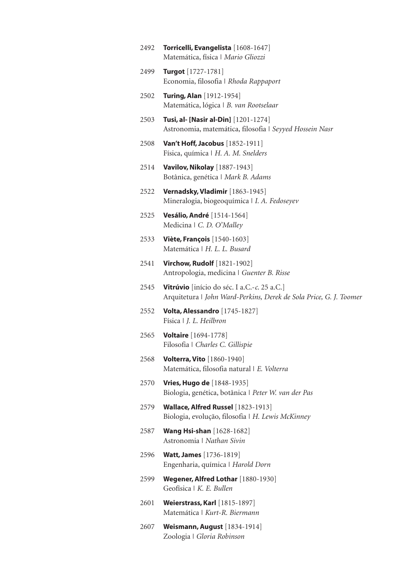| 2492 | Torricelli, Evangelista [1608-1647]<br>Matemática, física   Mario Gliozzi                                         |
|------|-------------------------------------------------------------------------------------------------------------------|
| 2499 | <b>Turgot</b> [1727-1781]<br>Economia, filosofia   Rhoda Rappaport                                                |
| 2502 | <b>Turing, Alan</b> [1912-1954]<br>Matemática, lógica   B. van Rootselaar                                         |
| 2503 | Tusi, al- [Nasir al-Din] [1201-1274]<br>Astronomia, matemática, filosofia   Seyyed Hossein Nasr                   |
| 2508 | Van't Hoff, Jacobus [1852-1911]<br>Física, química   H. A. M. Snelders                                            |
| 2514 | <b>Vavilov, Nikolay</b> [1887-1943]<br>Botânica, genética   Mark B. Adams                                         |
| 2522 | Vernadsky, Vladimir [1863-1945]<br>Mineralogia, biogeoquímica   I. A. Fedoseyev                                   |
| 2525 | Vesálio, André [1514-1564]<br>Medicina   C. D. O'Malley                                                           |
| 2533 | <b>Viète, François</b> [1540-1603]<br>Matemática   H. L. L. Busard                                                |
| 2541 | <b>Virchow, Rudolf</b> [1821-1902]<br>Antropologia, medicina   Guenter B. Risse                                   |
| 2545 | Vitrúvio [início do séc. I a.C.-c. 25 a.C.]<br>Arquitetura   John Ward-Perkins, Derek de Sola Price, G. J. Toomer |
| 2552 | Volta, Alessandro [1745-1827]<br>Física   J. L. Heilbron                                                          |
| 2565 | <b>Voltaire</b> [1694-1778]<br>Filosofia   Charles C. Gillispie                                                   |
| 2568 | <b>Volterra, Vito</b> [1860-1940]<br>Matemática, filosofia natural   E. Volterra                                  |
| 2570 | <b>Vries, Hugo de</b> [1848-1935]<br>Biologia, genética, botânica   Peter W. van der Pas                          |
| 2579 | Wallace, Alfred Russel [1823-1913]<br>Biologia, evolução, filosofia   H. Lewis McKinney                           |
| 2587 | <b>Wang Hsi-shan</b> [1628-1682]<br>Astronomia   Nathan Sivin                                                     |
| 2596 | <b>Watt, James</b> [1736-1819]<br>Engenharia, química   Harold Dorn                                               |
| 2599 | Wegener, Alfred Lothar [1880-1930]<br>Geofísica   K. E. Bullen                                                    |
| 2601 | <b>Weierstrass, Karl</b> [1815-1897]<br>Matemática   Kurt-R. Biermann                                             |
| 2607 | <b>Weismann, August</b> [1834-1914]<br>Zoologia   Gloria Robinson                                                 |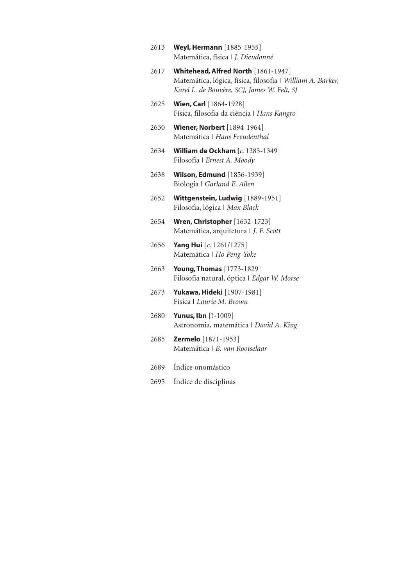- 2613 **Weyl, Hermann** [1885-1955] Matemática, física | *J. Dieudonné*
- 2617 Whitehead, Alfred North [1861-1947] Matemática, lógica, física, filosofia | *William A. Barker, Karel L. de Bouvère, SCJ, James W. Felt, SJ*
- 2625 **Wien, Carl** [1864-1928] Física, filosofia da ciência | *Hans Kangro*
- 2630 Wiener, Norbert [1894-1964] Matemática | *Hans Freudenthal*
- 2634 William de Ockham [*c*. 1285-1349] Filosofia | *Ernest A. Moody*
- 2638 Wilson, Edmund [1856-1939] Biologia | *Garland E. Allen*
- 2652 Wittgenstein, Ludwig [1889-1951] Filosofia, lógica | *Max Black*
- 2654 **Wren, Christopher** [1632-1723] Matemática, arquitetura | *J. F. Scott*
- 2656 Yang Hui [*c*. 1261/1275] Matemática | *Ho Peng-Yoke*
- 2663 **Young, Thomas** [1773-1829] Filosofia natural, óptica | *Edgar W. Morse*
- 2673 **Yukawa, Hideki** [1907-1981] Física | *Laurie M. Brown*
- 2680 Yunus, Ibn [?-1009] Astronomia, matemática | *David A. King*
- 2685 Zermelo [1871-1953] Matemática | *B. van Rootselaar*
- 2689 Índice onomástico
- 2695 Índice de disciplinas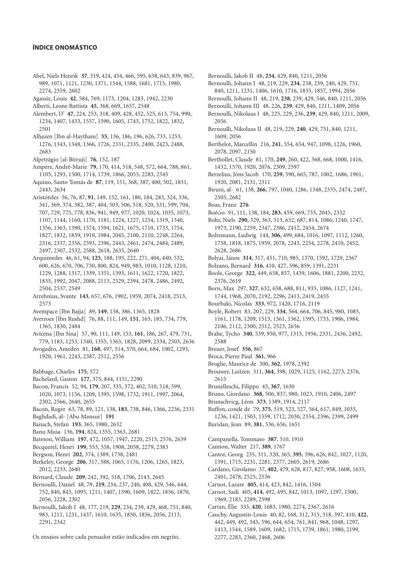#### ÍNDICE ONOMÁSTICO

- Abel, Niels Henrik **37**, 319, 424, 454, 466, 595, 638, 643, 839, 967, 989, 1071, 1121, 1230, 1371, 1544, 1588, 1681, 1715, 1980, 2274, 2359, 2602
- Agassiz, Louis **42**, 584, 769, 1173, 1204, 1283, 1942, 2230
- Alberti, Leone Battista **45**, 368, 669, 1657, 2548
- Alembert, D' **47**, 224, 253, 318, 409, 428, 452, 525, 613, 754, 990, 1234, 1407, 1433, 1557, 1590, 1605, 1743, 1752, 1822, 1832, 2501
- Alhazen [Ibn al-Haytham] **55**, 136, 186, 196, 626, 733, 1253, 1276, 1343, 1348, 1366, 1726, 2331, 2335, 2400, 2423, 2488, 2683
- Alpetrágio [al-Bitruji] **76**, 152, 187
- Ampère, André-Marie **79**, 170, 414, 518, 548, 572, 664, 788, 861, 1105, 1293, 1500, 1714, 1739, 1866, 2055, 2283, 2345
- Aquino, Santo Tomás de **87**, 119, 151, 368, 387, 400, 502, 1831, 2443, 2634
- Aristóteles 56, 76, 87, **91**, 149, 152, 161, 180, 184, 283, 324, 336, 341, 369, 374, 382, 387, 404, 503, 506, 518, 520, 531, 599, 704, 707, 729, 775, 778, 836, 941, 949, 977, 1020, 1024, 1035, 1073, 1107, 1144, 1160, 1170, 1181, 1224, 1227, 1254, 1319, 1340, 1356, 1363, 1390, 1574, 1594, 1621, 1675, 1710, 1733, 1754, 1827, 1832, 1839, 1910, 1984, 2045, 2100, 2110, 2248, 2264, 2316, 2337, 2356, 2393, 2396, 2443, 2461, 2474, 2484, 2489, 2497, 2507, 2532, 2588, 2618, 2635, 2640
- Arquimedes 46, 61, 94, **125**, 188, 195, 222, 271, 404, 440, 532, 600, 626, 670, 706, 730, 800, 824, 949, 983, 1010, 1128, 1210, 1229, 1288, 1317, 1339, 1351, 1393, 1611, 1622, 1720, 1822, 1835, 1992, 2047, 2088, 2113, 2329, 2394, 2478, 2486, 2492, 2504, 2537, 2549
- Arrehnius, Svante **143**, 657, 676, 1902, 1959, 2074, 2418, 2513, 2573
- Avempace [Ibn Bajja] 89, **149**, 158, 386, 1365, 1828
- Averroes [Ibn Rushd] 76, 88, 111, 149, **151**, 165, 185, 734, 779, 1365, 1830, 2484
- Avicena [Ibn Sina] 57, 90, 111, 149, 153, **161**, 186, 267, 479, 731, 779, 1183, 1253, 1340, 1355, 1365, 1828, 2099, 2334, 2503, 2636
- Avogadro, Amedeo 81, **168**, 497, 514, 570, 664, 684, 1002, 1293, 1920, 1961, 2243, 2387, 2512, 2556
- Babbage, Charles **175**, 572
- Bachelard, Gaston **177**, 375, 844, 1151, 2290
- Bacon, Francis 52, 94, **179**, 207, 335, 372, 402, 510, 518, 599, 1020, 1073, 1156, 1209, 1395, 1598, 1732, 1911, 1997, 2064, 2302, 2566, 2640, 2655
- Bacon, Roger 63, 78, 89, 121, 138, **183**, 738, 846, 1366, 2236, 2331
- Baghdadi, al- [Abu Mansur] **191**
- Banach, Stefan **193**, 365, 1980, 2632
- Banu Musa 136, **194**, 824, 1355, 1363, 2681
- Bateson, William **197**, 472, 1057, 1947, 2220, 2515, 2576, 2639
- Becquerel, Henri **199**, 553, 558, 1908, 2058, 2279, 2383
- Bergson, Henri **202**, 374, 1389, 1738, 2481
- Berkeley, George **206**, 317, 588, 1065, 1176, 1206, 1265, 1823, 2012, 2233, 2640
- Bernard, Claude **209**, 242, 392, 518, 1706, 2143, 2645
- Bernoulli, Daniel 48, 79, **219**, 234, 237, 240, 408, 429, 546, 644, 752, 840, 843, 1095, 1211, 1407, 1590, 1609, 1822, 1856, 1870, 2056, 2228, 2302
- Bernoulli, Jakob I 48, 177, 219, **229**, 234, 239, 429, 468, 751, 840, 983, 1211, 1231, 1437, 1610, 1635, 1850, 1856, 2056, 2113, 2291, 2342

Os ensaios sobre cada pensador estão indicados em negrito.

Bernoulli, Jakob II 48, **234**, 429, 840, 1211, 2056

Bernoulli, Johann I 48, 219, 229, **234**, 238, 239, 240, 429, 751, 840, 1211, 1231, 1406, 1610, 1716, 1835, 1857, 1994, 2056

- Bernoulli, Johann II 48, 219, **238**, 239, 429, 546, 840, 1211, 2056
- Bernoulli, Johann III 48, 226, **239**, 429, 840, 1211, 1409, 2056
- Bernoulli, Nikolaus I 48, 225, 229, 236, **239**, 429, 840, 1211, 2009, 2056
- Bernoulli, Nikolaus II 48, 219, 229, **240**, 429, 751, 840, 1211, 1609, 2056
- Berthelot, Marcellin 216, **241**, 554, 654, 947, 1098, 1226, 1960, 2078, 2097, 2150
- Berthollet, Claude 81, 170, **249**, 260, 422, 568, 668, 1000, 1416, 1432, 1570, 1920, 2076, 2309, 2597
- Berzelius, Jöns Jacob 170, **259**, 590, 665, 787, 1002, 1686, 1901, 1920, 2081, 2131, 2311
- Biruni, al- 61, 138, **266**, 797, 1040, 1286, 1348, 2335, 2474, 2487, 2505, 2682
- Boas, Franz **276**
- Boécio 91, 111, 138, 184, **283**, 459, 669, 735, 2045, 2332
- Bohr, Niels **290**, 329, 363, 513, 632, 687, 814, 1086, 1240, 1747, 1973, 2190, 2259, 2347, 2386, 2412, 2454, 2674
- Boltzmann, Ludwig 144, **306**, 499, 684, 1016, 1097, 1112, 1260, 1738, 1818, 1875, 1959, 2078, 2243, 2254, 2278, 2410, 2452, 2628, 2686
- Bolyai, János **314**, 317, 451, 710, 985, 1370, 1592, 1729, 2367
- Bolzano, Bernard **316**, 410, 427, 596, 859, 1391, 2231
- Boole, George **322**, 449, 658, 857, 1439, 1606, 1881, 2200, 2232, 2376, 2619
- Born, Max 297, **327**, 632, 658, 688, 811, 935, 1086, 1127, 1241, 1744, 1968, 2070, 2192, 2296, 2413, 2419, 2455
- Bourbaki, Nicolas **333**, 972, 1420, 1716, 2119
- Boyle, Robert 83, 207, 229, **334**, 564, 664, 706, 845, 980, 1085, 1161, 1178, 1209, 1513, 1561, 1562, 1595, 1733, 1906, 1984, 2106, 2112, 2300, 2512, 2523, 2656
- Brahe, Tycho **340**, 539, 950, 977, 1315, 1956, 2331, 2436, 2492, 2588
- Breuer, Josef **356**, 867
- Broca, Pierre Paul **361**, 966
- Broglie, Maurice de 300, **362**, 1978, 2392
- Brouwer, Luitzen 311, **364**, 398, 1029, 1125, 1162, 2273, 2376, 2615
- Brunelleschi, Filippo 45, **367**, 1630
- Bruno, Giordano **368**, 506, 837, 980, 1023, 1910, 2406, 2497
- Brunschvicg, Léon **373**, 1389, 1914, 2117
- Buffon, conde de 79, **375**, 519, 523, 527, 564, 617, 849, 1035, 1236, 1421, 1503, 1559, 1712, 2030, 2354, 2396, 2399, 2499
- Buridan, Jean 89, **381**, 536, 656, 1651
- Campanella, Tommaso **387**, 510, 1910
- Cannon, Walter 217, **389**, 1767
- Cantor, Georg 235, 311, 320, 365, **395**, 596, 626, 842, 1027, 1120, 1391, 1715, 2231, 2281, 2377, 2605, 2619, 2686
- Cardano, Girolamo 37, **402**, 479, 628, 817, 827, 958, 1608, 1635, 2401, 2478, 2525, 2536
- Carnot, Lazare **405**, 414, 423, 842, 1416, 1504
- Carnot, Sadi 405, **414**, 492, 495, 842, 1013, 1097, 1297, 1500, 1969, 2183, 2289, 2598
- Cartan, Élie 333, **420**, 1683, 1980, 2274, 2367, 2616
- Cauchy, Augustin-Louis 40, 82, 168, 312, 315, 318, 397, 410, **422**, 442, 449, 492, 545, 596, 644, 654, 761, 841, 968, 1048, 1297, 1413, 1544, 1589, 1609, 1682, 1715, 1739, 1861, 1980, 2199, 2277, 2283, 2360, 2468, 2606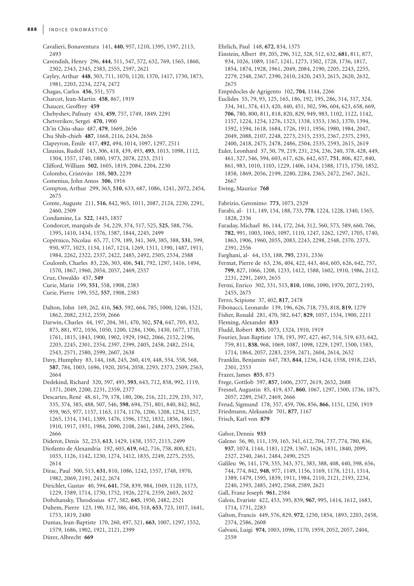- Cavalieri, Bonaventura 141, **440**, 957, 1210, 1395, 1597, 2113, 2493
- Cavendish, Henry 296, **444**, 511, 547, 572, 632, 769, 1565, 1860, 2302, 2343, 2345, 2383, 2555, 2597, 2621
- Cayley, Arthur **448**, 503, 711, 1070, 1120, 1370, 1417, 1730, 1873, 1981, 2203, 2234, 2274, 2472
- Chagas, Carlos **456**, 551, 575
- Charcot, Jean-Martin **458**, 867, 1919
- Chaucer, Geoffrey **459**
- Chebyshev, Pafnuty 434, **459**, 757, 1749, 1849, 2291
- Chetverikov, Sergei **470**, 1900
- Ch'in Chiu-shao 487, **479**, 1669, 2656
- Chu Shih-chieh **487**, 1668, 2116, 2434, 2656
- Clapeyron, Émile 417, **492**, 494, 1014, 1097, 1297, 2511
- Clausius, Rudolf 143, 306, 418, 439, 493, **493**, 1013, 1098, 1112, 1304, 1557, 1740, 1880, 1973, 2078, 2253, 2511
- Clifford, William **502**, 1605, 1819, 2084, 2204, 2230
- Colombo, Cristóvão 188, **503**, 2239
- Comenius, John Amos **506**, 1916
- Compton, Arthur 299, 363, **510**, 633, 687, 1086, 1241, 2072, 2454, 2675
- Comte, Auguste 211, **516**, 842, 965, 1011, 2087, 2124, 2230, 2291, 2460, 2509
- Condamine, La **522**, 1445, 1857
- Condorcet, marquês de 54, 229, 374, 517, 525, **525**, 588, 756, 1395, 1410, 1434, 1576, 1587, 1844, 2245, 2499
- Copérnico, Nicolau 65, 77, 179, 189, 341, 369, 385, 388, **531**, 599, 950, 977, 1023, 1134, 1167, 1214, 1269, 1311, 1390, 1487, 1911, 1984, 2262, 2322, 2337, 2422, 2485, 2492, 2505, 2534, 2588
- Coulomb, Charles 83, 226, 303, 406, **541**, 792, 1297, 1416, 1494, 1570, 1867, 1960, 2054, 2057, 2469, 2557
- Cruz, Oswaldo 457, **549**
- Curie, Marie 199, **551**, 558, 1908, 2383
- Curie, Pierre 199, 552, **557**, 1908, 2383
- Dalton, John 169, 262, 416, **563**, 592, 664, 785, 1000, 1246, 1521, 1862, 2082, 2312, 2559, 2666
- Darwin, Charles 44, 197, 204, 381, 470, 502, **574**, 647, 705, 832, 873, 881, 972, 1036, 1050, 1200, 1284, 1306, 1430, 1677, 1710, 1761, 1815, 1843, 1900, 1902, 1929, 1942, 2066, 2152, 2196, 2203, 2245, 2301, 2354, 2397, 2399, 2405, 2458, 2482, 2514, 2543, 2571, 2580, 2599, 2607, 2638
- Davy, Humphry 83, 144, 168, 245, 260, 419, 448, 554, 558, 568, **587**, 784, 1003, 1696, 1920, 2054, 2058, 2293, 2373, 2509, 2563, 2664
- Dedekind, Richard 320, 397, 493, **593**, 643, 712, 858, 992, 1119, 1371, 2049, 2200, 2231, 2359, 2377
- Descartes, René 48, 61, 79, 178, 180, 206, 216, 221, 229, 235, 317, 335, 374, 385, 488, 507, 546, **598**, 694, 751, 801, 840, 842, 862, 959, 965, 977, 1157, 1163, 1174, 1176, 1206, 1208, 1234, 1257, 1265, 1314, 1341, 1389, 1476, 1596, 1732, 1832, 1856, 1861, 1910, 1917, 1931, 1984, 2090, 2108, 2461, 2484, 2493, 2566, 2666
- Diderot, Denis 52, 253, **613**, 1429, 1438, 1557, 2115, 2499
- Diofanto de Alexandria 192, 603, **619**, 642, 716, 758, 800, 821, 1033, 1126, 1142, 1230, 1274, 1412, 1835, 2249, 2275, 2535, 2614
- Dirac, Paul 300, 513, **631**, 810, 1086, 1242, 1557, 1748, 1970, 1982, 2069, 2191, 2412, 2674
- Dirichlet, Gustav 40, 594, **641**, 758, 839, 984, 1049, 1120, 1173, 1229, 1589, 1714, 1730, 1752, 1926, 2274, 2359, 2603, 2632
- Dobzhansky, Theodosius 477, 582, **645**, 1950, 2482, 2521
- Duhem, Pierre 123, 190, 312, 386, 404, 518, **653**, 723, 1017, 1641, 1753, 1819, 2480
- Dumas, Jean-Baptiste 170, 260, 497, 521, **663**, 1007, 1297, 1552, 1579, 1686, 1902, 1921, 2121, 2399

Dürer, Albrecht **669**

- Ehrlich, Paul 148, **672**, 834, 1375
- Einstein, Albert 89, 205, 296, 312, 328, 512, 632, **681**, 811, 877, 934, 1026, 1089, 1167, 1241, 1273, 1502, 1728, 1736, 1817, 1854, 1874, 1928, 1961, 2049, 2084, 2190, 2205, 2243, 2255, 2279, 2348, 2367, 2390, 2410, 2420, 2453, 2615, 2620, 2632, 2675
- Empédocles de Agrigento 102, **704**, 1144, 2266
- Euclides 55, 79, 93, 125, 165, 186, 192, 195, 286, 314, 317, 324, 334, 341, 374, 413, 420, 440, 451, 502, 596, 604, 623, 658, 669, **706**, 780, 800, 811, 818, 820, 829, 949, 983, 1102, 1122, 1142, 1157, 1224, 1254, 1276, 1323, 1338, 1353, 1363, 1370, 1394, 1592, 1594, 1618, 1684, 1726, 1911, 1956, 1980, 1984, 2047, 2049, 2088, 2107, 2248, 2273, 2315, 2335, 2367, 2375, 2393, 2400, 2418, 2475, 2478, 2486, 2504, 2535, 2593, 2615, 2619
- Euler, Leonhard 37, 50, 79, 219, 231, 234, 236, 240, 378, 428, 449, 461, 527, 546, 594, 603, 617, 626, 642, 657, **751**, 806, 827, 840, 861, 983, 1010, 1103, 1229, 1406, 1434, 1588, 1715, 1750, 1852, 1858, 1869, 2056, 2199, 2280, 2284, 2365, 2472, 2567, 2621, 2667
- Ewing, Maurice **768**
- Fabrizio, Geronimo **773**, 1073, 2529
- Farabi, al- 111, 149, 154, 188, 733, **778**, 1224, 1228, 1340, 1365, 1828, 2336
- Faraday, Michael 86, 144, 172, 264, 312, 560, 573, 589, 660, 766, **782**, 991, 1003, 1065, 1097, 1110, 1247, 1262, 1297, 1705, 1740, 1863, 1906, 1960, 2055, 2083, 2243, 2298, 2348, 2370, 2373, 2391, 2556
- Farghani, al- 64, 153, 188, **795**, 2331, 2336
- Fermat, Pierre de 63, 236, 404, 422, 443, 464, 605, 626, 642, 757, **799**, 827, 1066, 1208, 1233, 1412, 1588, 1602, 1910, 1986, 2112, 2231, 2291, 2493, 2655
- Fermi, Enrico 302, 331, 515, **810**, 1086, 1090, 1970, 2072, 2193, 2455, 2675
- Ferro, Scipione 37, 402, **817**, 2478
- Fibonacci, Leonardo 139, 196, 626, 718, 735, 818, **819**, 1279
- Fisher, Ronald 281, 470, 582, 647, **829**, 1057, 1534, 1900, 2211
- Fleming, Alexander **833**
- Fludd, Robert **835**, 1073, 1324, 1910, 1919
- Fourier, Jean Baptiste 178, 193, 397, 427, 467, 514, 519, 633, 642, 759, 811, **838**, 968, 1069, 1087, 1098, 1229, 1297, 1500, 1583, 1714, 1864, 2057, 2283, 2359, 2471, 2604, 2614, 2632
- Franklin, Benjamin 647, 783, **844**, 1236, 1424, 1558, 1918, 2245, 2301, 2553
- Frazer, James **855**, 873
- Frege, Gottlob 597, **857**, 1606, 2377, 2619, 2652, 2688
- Fresnel, Augustin 85, 419, 437, **860**, 1067, 1297, 1500, 1736, 1875, 2057, 2289, 2347, 2469, 2666
- Freud, Sigmund 178, 357, 459, 706, 856, **866**, 1151, 1250, 1919
- Friedmann, Aleksandr 701, **877**, 1167
- Frisch, Karl von **879**
- Gabor, Dennis **933**
- Galeno 56, 90, 111, 159, 165, 341, 612, 704, 737, 774, 780, 836, **937**, 1074, 1144, 1181, 1229, 1367, 1626, 1831, 1840, 2099, 2327, 2340, 2461, 2484, 2490, 2525
- Galileu 96, 141, 179, 335, 343, 371, 383, 388, 408, 440, 598, 656, 744, 774, 842, **948**, 977, 1149, 1156, 1169, 1178, 1211, 1314, 1389, 1479, 1595, 1839, 1911, 1984, 2110, 2121, 2193, 2234, 2240, 2393, 2485, 2492, 2568, 2589, 2621
- Gall, Franz Joseph **961**, 2584
- Galois, Evariste 422, 453, 595, 839, **967**, 995, 1414, 1612, 1683, 1714, 1731, 2283
- Galton, Francis 449, 576, 829, **972**, 1250, 1854, 1893, 2203, 2458, 2574, 2586, 2608
- Galvani, Luigi **974**, 1003, 1096, 1170, 1959, 2052, 2057, 2404, 2559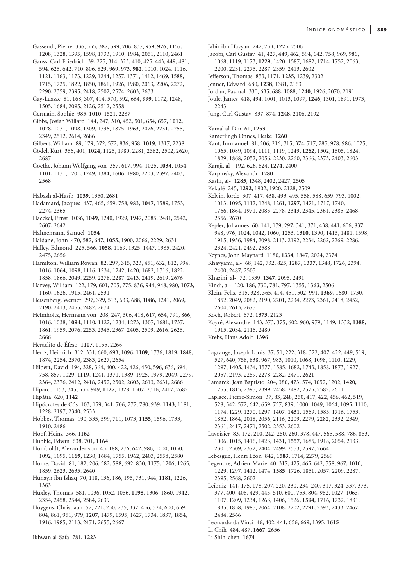- Gassendi, Pierre 336, 355, 387, 599, 706, 837, 959, **976**, 1157,
- 1208, 1328, 1395, 1598, 1733, 1910, 1984, 2051, 2110, 2461
- Gauss, Carl Friedrich 39, 225, 314, 323, 410, 425, 443, 449, 481, 594, 626, 642, 710, 806, 829, 969, 973, **982**, 1010, 1024, 1116, 1121, 1163, 1173, 1229, 1244, 1257, 1371, 1412, 1469, 1588, 1715, 1725, 1822, 1850, 1861, 1926, 1980, 2063, 2206, 2272, 2290, 2359, 2395, 2418, 2502, 2574, 2603, 2633
- Gay-Lussac 81, 168, 307, 414, 570, 592, 664, **999**, 1172, 1248, 1505, 1684, 2095, 2126, 2512, 2558
- Germain, Sophie 985, **1010**, 1521, 2287
- Gibbs, Josiah Willard 144, 247, 310, 452, 501, 654, 657, **1012**, 1028, 1071, 1098, 1309, 1736, 1875, 1963, 2076, 2231, 2255, 2349, 2512, 2614, 2686
- Gilbert, William 89, 179, 372, 572, 836, 958, **1019**, 1317, 2238
- Gödel, Kurt 366, 401, **1024**, 1125, 1980, 2281, 2382, 2502, 2620, 2687
- Goethe, Johann Wolfgang von 357, 617, 994, 1025, **1034**, 1054, 1101, 1171, 1201, 1249, 1384, 1606, 1980, 2203, 2397, 2403, 2568
- Habash al-Hasib **1039**, 1350, 2681
- Hadamard, Jacques 437, 465, 659, 758, 983, **1047**, 1589, 1753, 2274, 2365
- Haeckel, Ernst 1036, **1049**, 1240, 1929, 1947, 2085, 2481, 2542, 2607, 2642
- Hahnemann, Samuel **1054**
- Haldane, John 470, 582, 647, **1055**, 1900, 2066, 2229, 2631
- Halley, Edmond 225, 566, **1058**, 1169, 1325, 1447, 1985, 2420, 2475, 2656
- Hamilton, William Rowan 82, 297, 315, 323, 451, 632, 812, 994, 1016, **1064**, 1098, 1116, 1234, 1242, 1420, 1682, 1716, 1822, 1858, 1866, 2049, 2259, 2278, 2287, 2413, 2419, 2619, 2676
- Harvey, William 122, 179, 601, 705, 775, 836, 944, 948, 980, **1073**, 1160, 1626, 1915, 2461, 2531
- Heisenberg, Werner 297, 329, 513, 633, 688, **1086**, 1241, 2069, 2190, 2413, 2455, 2482, 2674
- Helmholtz, Hermann von 208, 247, 306, 418, 617, 654, 791, 866, 1016, 1038, **1094**, 1110, 1122, 1234, 1273, 1307, 1681, 1737, 1861, 1959, 2076, 2253, 2345, 2367, 2405, 2509, 2616, 2626, 2666
- Heráclito de Éfeso **1107**, 1155, 2266
- Hertz, Heinrich 312, 331, 660, 693, 1096, **1109**, 1736, 1819, 1848, 1874, 2254, 2370, 2383, 2627, 2654
- Hilbert, David 194, 328, 364, 400, 422, 426, 450, 596, 636, 694, 758, 857, 1029, **1119**, 1241, 1371, 1389, 1925, 1979, 2049, 2279, 2364, 2376, 2412, 2418, 2452, 2502, 2603, 2613, 2631, 2686
- Hiparco 153, 345, 535, 949, **1127**, 1328, 1507, 2316, 2417, 2682 Hipátia 620, **1142**
- Hipócrates de Cós 103, 159, 341, 706, 777, 780, 939, **1143**, 1181, 1228, 2197, 2340, 2533
- Hobbes, Thomas 190, 335, 599, 711, 1073, **1155**, 1596, 1733, 1910, 2486
- Hopf, Heinz 366, **1162**
- Hubble, Edwin 638, 701, **1164**
- Humboldt, Alexander von 43, 188, 276, 642, 986, 1000, 1050, 1092, 1095, **1169**, 1230, 1684, 1755, 1962, 2403, 2558, 2580
- Hume, David 81, 182, 206, 582, 588, 692, 830, **1175**, 1206, 1265, 1859, 2623, 2635, 2640
- Hunayn ibn Ishaq 70, 118, 136, 186, 195, 731, 944, **1181**, 1226, 1363
- Huxley, Thomas 581, 1036, 1052, 1056, **1198**, 1306, 1860, 1942, 2354, 2458, 2544, 2584, 2639
- Huygens, Christiaan 57, 221, 230, 235, 337, 436, 524, 600, 659, 804, 861, 951, 979, **1207**, 1479, 1595, 1627, 1734, 1837, 1854, 1916, 1985, 2113, 2471, 2655, 2667
- Ikhwan al-Safa 781, **1223**
- Jabir ibn Hayyan 242, 733, **1225**, 2506
- Jacobi, Carl Gustav 41, 427, 449, 462, 594, 642, 758, 969, 986, 1068, 1119, 1173, **1229**, 1420, 1587, 1682, 1714, 1752, 2063, 2200, 2231, 2275, 2287, 2359, 2413, 2602
- Jefferson, Thomas 853, 1171, **1235**, 1239, 2302
- Jenner, Edward 680, **1238**, 1381, 2163
- Jordan, Pascual 330, 635, 688, 1088, **1240**, 1926, 2070, 2191
- Joule, James 418, 494, 1001, 1013, 1097, **1246**, 1301, 1891, 1973, 2243
- Jung, Carl Gustav 837, 874, **1248**, 2106, 2192
- Kamal al-Din 61, **1253**
- Kamerlingh Onnes, Heike **1260**
- Kant, Immanuel 81, 206, 216, 315, 374, 717, 785, 978, 986, 1025, 1065, 1089, 1094, 1111, 1119, 1249, **1262**, 1502, 1605, 1824, 1829, 1868, 2052, 2056, 2230, 2260, 2366, 2375, 2403, 2603
- Karaji, al- 192, 626, 824, **1274**, 2400
- Karpinsky, Alexandr **1280**
- Kashi, al- **1285**, 1348, 2402, 2427, 2505
- Kekulé 245, **1292**, 1902, 1920, 2128, 2509
- Kelvin, lorde 307, 417, 438, 493, 495, 558, 588, 659, 793, 1002, 1013, 1095, 1112, 1248, 1261, **1297**, 1471, 1717, 1740, 1766, 1864, 1971, 2083, 2278, 2343, 2345, 2361, 2385, 2468, 2556, 2670
- Kepler, Johannes 60, 141, 179, 297, 341, 371, 438, 441, 606, 837, 948, 976, 1024, 1042, 1060, 1253, **1310**, 1390, 1413, 1481, 1598, 1915, 1956, 1984, 2098, 2113, 2192, 2234, 2262, 2269, 2286, 2324, 2421, 2492, 2588
- Keynes, John Maynard 1180, **1334**, 1847, 2024, 2374
- Khayyami, al- 68, 142, 732, 825, 1287, **1337**, 1348, 1726, 2394, 2400, 2487, 2505
- Khazini, al- 72, 1339, **1347**, 2095, 2491
- Kindi, al- 120, 186, 730, 781, 797, 1355, **1363**, 2506
- Klein, Felix 315, 328, 365, 414, 451, 502, 991, **1369**, 1680, 1730, 1852, 2049, 2082, 2190, 2201, 2234, 2273, 2361, 2418, 2452, 2604, 2613, 2675
- Koch, Robert 672, **1373**, 2123
- Koyré, Alexandre 143, 373, 375, 602, 960, 979, 1149, 1332, **1388**, 1915, 2034, 2116, 2480
- Krebs, Hans Adolf **1396**
- Lagrange, Joseph Louis 37, 51, 222, 318, 322, 407, 422, 449, 519, 527, 640, 758, 838, 967, 983, 1010, 1068, 1098, 1110, 1229, 1297, **1405**, 1434, 1577, 1585, 1682, 1743, 1858, 1873, 1927, 2057, 2193, 2259, 2278, 2282, 2471, 2621
- Lamarck, Jean Baptiste 204, 380, 473, 574, 1052, 1202, **1420**, 1755, 1815, 2395, 2399, 2458, 2482, 2575, 2582, 2611
- Laplace, Pierre-Simon 37, 83, 248, 250, 417, 422, 456, 462, 519, 528, 542, 572, 642, 659, 757, 839, 1000, 1049, 1064, 1095, 1110, 1174, 1229, 1270, 1297, 1407, **1431**, 1569, 1585, 1716, 1753, 1852, 1864, 2018, 2056, 2116, 2209, 2279, 2282, 2332, 2349, 2361, 2417, 2471, 2502, 2553, 2602
- Lavoisier 83, 172, 210, 242, 250, 260, 378, 447, 565, 588, 786, 853, 1006, 1015, 1416, 1423, 1431, **1557**, 1685, 1918, 2054, 2133, 2301, 2309, 2372, 2404, 2499, 2553, 2597, 2664
- Lebesgue, Henri Léon 842, **1583**, 1714, 2279, 2569
- Legendre, Adrien-Marie 40, 317, 425, 465, 642, 758, 967, 1010, 1229, 1297, 1412, 1474, **1585**, 1726, 1851, 2057, 2209, 2287, 2395, 2568, 2602
- Leibniz 141, 175, 178, 207, 220, 230, 234, 240, 317, 324, 337, 373, 377, 400, 408, 429, 443, 510, 600, 753, 804, 982, 1027, 1063, 1107, 1209, 1234, 1263, 1406, 1526, **1594**, 1716, 1732, 1831, 1835, 1858, 1985, 2064, 2108, 2202, 2291, 2393, 2433, 2467, 2484, 2566
- Leonardo da Vinci 46, 402, 441, 656, 669, 1395, **1615**
- Li Chih 484, 487, **1667**, 2656
- Li Shih-chen **1674**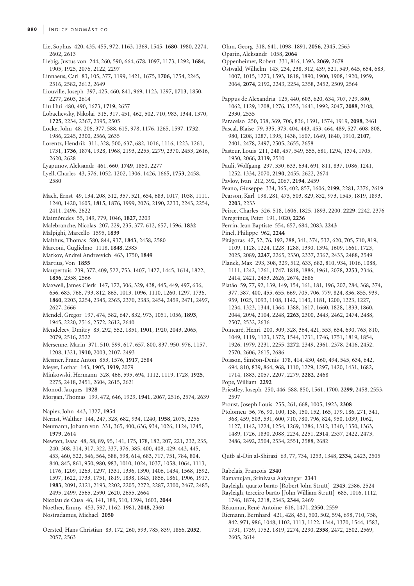- Lie, Sophus 420, 435, 455, 972, 1163, 1369, 1545, **1680**, 1980, 2274, 2602, 2613
- Liebig, Justus von 244, 260, 590, 664, 678, 1097, 1173, 1292, **1684**, 1905, 1925, 2076, 2122, 2297
- Linnaeus, Carl 83, 105, 377, 1199, 1421, 1675, **1706**, 1754, 2245, 2516, 2582, 2612, 2649
- Liouville, Joseph 397, 425, 460, 841, 969, 1123, 1297, **1713**, 1850, 2277, 2603, 2614
- Liu Hui 480, 490, 1673, **1719**, 2657
- Lobachevsky, Nikolai 315, 317, 451, 462, 502, 710, 983, 1344, 1370, **1725**, 2234, 2367, 2395, 2505
- Locke, John 48, 206, 377, 588, 615, 978, 1176, 1265, 1597, **1732**, 1986, 2245, 2300, 2566, 2635
- Lorentz, Hendrik 311, 328, 500, 637, 682, 1016, 1116, 1223, 1261, 1731, **1736**, 1874, 1928, 1968, 2193, 2255, 2279, 2370, 2453, 2616, 2620, 2628
- Lyapunov, Aleksandr 461, 660, **1749**, 1850, 2277
- Lyell, Charles 43, 576, 1052, 1202, 1306, 1426, 1665, **1753**, 2458, 2580
- Mach, Ernst 49, 134, 208, 312, 357, 521, 654, 683, 1017, 1038, 1111, 1240, 1420, 1605, **1815**, 1876, 1999, 2076, 2190, 2233, 2243, 2254, 2411, 2496, 2622
- Maimônides 55, 149, 779, 1046, **1827**, 2203
- Malebranche, Nicolas 207, 229, 235, 377, 612, 657, 1596, **1832**
- Malpighi, Marcello 1595, **1839**
- Malthus, Thomas 580, 844, 937, **1843**, 2458, 2580
- Marconi, Guglielmo 1118, **1848**, 2383
- Markov, Andrei Andreevich 463, 1750, **1849**
- Martius, Von **1855**
- Maupertuis 239, 377, 409, 522, 753, 1407, 1427, 1445, 1614, 1822, **1856**, 2358, 2566
- Maxwell, James Clerk 147, 172, 306, 329, 438, 445, 449, 497, 636, 656, 683, 766, 793, 812, 865, 1013, 1096, 1110, 1260, 1297, 1736, **1860**, 2203, 2254, 2345, 2365, 2370, 2383, 2454, 2459, 2471, 2497, 2627, 2666
- Mendel, Gregor 197, 474, 582, 647, 832, 973, 1051, 1056, **1893**, 1945, 2220, 2516, 2572, 2612, 2640
- Mendeleev, Dmitry 83, 292, 552, 1851, **1901**, 1920, 2043, 2065, 2079, 2516, 2522
- Mersenne, Marin 371, 510, 599, 617, 657, 800, 837, 950, 976, 1157, 1208, 1321, **1910**, 2003, 2107, 2493
- Mesmer, Franz Anton 853, 1576, **1917**, 2584
- Meyer, Lothar 143, 1905, **1919**, 2079
- Minkowski, Hermann 328, 466, 595, 694, 1112, 1119, 1728, **1925**, 2275, 2418, 2451, 2604, 2615, 2621
- Monod, Jacques **1928**
- Morgan, Thomas 199, 472, 646, 1929, **1941**, 2067, 2516, 2574, 2639
- Napier, John 443, 1327, **1954**
- Nernst, Walther 144, 247, 328, 682, 934, 1240, **1958**, 2075, 2256
- Neumann, Johann von 331, 365, 400, 636, 934, 1026, 1124, 1245, **1979**, 2614
- Newton, Isaac 48, 58, 89, 95, 141, 175, 178, 182, 207, 221, 232, 235, 240, 308, 314, 317, 322, 337, 376, 385, 400, 408, 429, 443, 445, 453, 460, 522, 546, 564, 588, 598, 614, 683, 717, 751, 784, 804, 840, 845, 861, 950, 980, 983, 1010, 1024, 1037, 1058, 1064, 1113, 1176, 1209, 1263, 1297, 1331, 1336, 1390, 1406, 1434, 1568, 1592, 1597, 1622, 1733, 1751, 1819, 1838, 1843, 1856, 1861, 1906, 1917, **1983**, 2091, 2121, 2193, 2202, 2205, 2272, 2287, 2300, 2467, 2485, 2495, 2499, 2565, 2590, 2620, 2655, 2664
- Nicolau de Cusa 46, 141, 189, 510, 1394, 1603, **2044**
- Noether, Emmy 453, 597, 1162, 1981, **2048**, 2360

Nostradamus, Michael **2050**

Oersted, Hans Christian 83, 172, 260, 593, 785, 839, 1866, **2052**, 2057, 2563

- Ohm, Georg 318, 641, 1098, 1891, **2056**, 2345, 2563
- Oparin, Aleksandr 1058, **2064**
- Oppenheimer, Robert 331, 816, 1393, **2069**, 2678
- Ostwald, Wilhelm 143, 234, 238, 312, 439, 521, 549, 645, 654, 683, 1007, 1015, 1273, 1593, 1818, 1890, 1900, 1908, 1920, 1959, 2064, **2074**, 2192, 2243, 2254, 2358, 2452, 2509, 2564
- Pappus de Alexandria 125, 440, 603, 620, 634, 707, 729, 800, 1062, 1129, 1208, 1276, 1353, 1641, 1992, 2047, **2088**, 2108, 2330, 2535
- Paracelso 250, 338, 369, 706, 836, 1391, 1574, 1919, **2098**, 2461
- Pascal, Blaise 79, 335, 373, 404, 443, 453, 464, 489, 527, 608, 808, 980, 1208, 1287, 1395, 1438, 1607, 1649, 1840, 1910, **2107**, 2401, 2478, 2497, 2505, 2655, 2658
- Pasteur, Louis 211, 248, 457, 549, 555, 681, 1294, 1374, 1705, 1930, 2066, **2119**, 2510
- Pauli, Wolfgang 297, 330, 633, 634, 691, 811, 837, 1086, 1241, 1252, 1334, 2070, **2190**, 2455, 2622, 2674
- Pavlov, Ivan 212, 392, 2067, **2194**, 2459
- Peano, Giuseppe 334, 365, 402, 857, 1606, **2199**, 2281, 2376, 2619
- Pearson, Karl 198, 281, 473, 503, 829, 832, 973, 1545, 1819, 1893, **2203**, 2233
- Peirce, Charles 326, 518, 1606, 1825, 1893, 2200, **2229**, 2242, 2376 Peregrinus, Peter 191, 1020, **2236**
- Perrin, Jean Baptiste 554, 657, 684, 2083, **2243**
- Pinel, Philippe 962, **2244**
- Pitágoras 47, 52, 76, 192, 288, 341, 374, 532, 620, 705, 710, 819, 1109, 1128, 1224, 1228, 1288, 1390, 1394, 1609, 1661, 1723, 2025, 2089, **2247**, 2265, 2330, 2337, 2367, 2433, 2488, 2549
- Planck, Max 293, 308, 329, 512, 633, 682, 810, 934, 1016, 1088, 1111, 1242, 1261, 1747, 1818, 1886, 1961, 2078, **2253**, 2346, 2414, 2421, 2453, 2626, 2674, 2686
- Platão 59, 77, 92, 139, 149, 154, 161, 181, 196, 207, 284, 368, 374, 377, 387, 400, 455, 655, 669, 705, 706, 779, 824, 836, 855, 939, 959, 1025, 1093, 1108, 1142, 1143, 1181, 1200, 1223, 1227, 1234, 1323, 1344, 1364, 1388, 1617, 1660, 1828, 1833, 1860, 2044, 2094, 2104, 2248, **2263**, 2300, 2443, 2462, 2474, 2488, 2507, 2532, 2636
- Poincaré, Henri 200, 309, 328, 364, 421, 553, 654, 690, 763, 810, 1049, 1119, 1123, 1372, 1544, 1731, 1746, 1751, 1819, 1854, 1926, 1979, 2231, 2255, **2272**, 2349, 2361, 2378, 2416, 2452, 2570, 2606, 2615, 2686
- Poisson, Siméon-Denis 178, 414, 430, 460, 494, 545, 634, 642, 694, 810, 839, 864, 968, 1110, 1229, 1297, 1420, 1431, 1682, 1714, 1883, 2057, 2207, 2279, **2282**, 2468
- Pope, William **2292**
- Priestley, Joseph 250, 446, 588, 850, 1561, 1700, **2299**, 2458, 2553, 2597
- Proust, Joseph Louis 255, 261, 668, 1005, 1923, **2308**
- Ptolomeu 56, 76, 90, 100, 138, 150, 152, 165, 179, 186, 271, 341, 368, 459, 503, 531, 600, 710, 780, 796, 824, 950, 1039, 1062, 1127, 1142, 1224, 1254, 1269, 1286, 1312, 1340, 1350, 1363, 1489, 1726, 1830, 2088, 2234, 2251, **2314**, 2337, 2422, 2473, 2486, 2492, 2504, 2534, 2551, 2588, 2682

Qutb al-Din al-Shirazi 63, 77, 734, 1253, 1348, **2334**, 2423, 2505

- Rabelais, François **2340**
- Ramanujan, Srinivasa Aaiyangar **2341**
- Rayleigh, quarto barão [Robert John Strutt] **2343**, 2386, 2524
- Rayleigh, terceiro barão [John William Strutt] 685, 1016, 1112, 1746, 1874, 2218, 2343, **2344**, 2469
- Réaumur, René-Antoine 616, 1471, **2350**, 2559
- Riemann, Bernhard 421, 428, 451, 500, 502, 594, 698, 710, 758, 842, 971, 986, 1048, 1102, 1113, 1122, 1344, 1370, 1544, 1583, 1731, 1739, 1752, 1819, 2274, 2290, **2358**, 2472, 2502, 2569, 2605, 2614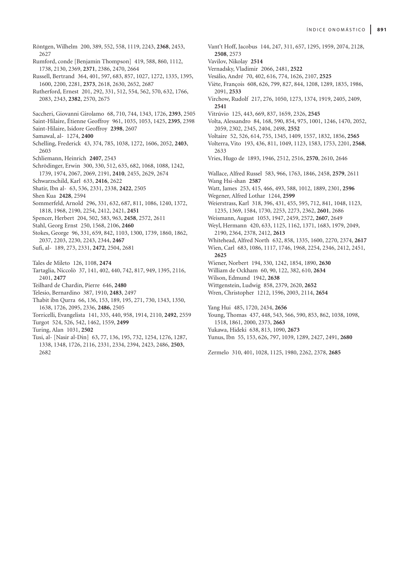- Röntgen, Wilhelm 200, 389, 552, 558, 1119, 2243, **2368**, 2453, 2627 Rumford, conde [Benjamin Thompson] 419, 588, 860, 1112, 1738, 2130, 2369, **2371**, 2386, 2470, 2664
- Russell, Bertrand 364, 401, 597, 683, 857, 1027, 1272, 1335, 1395, 1600, 2200, 2281, **2373**, 2618, 2630, 2652, 2687
- Rutherford, Ernest 201, 292, 331, 512, 554, 562, 570, 632, 1766, 2083, 2343, **2382**, 2570, 2675
- Saccheri, Giovanni Girolamo 68, 710, 744, 1343, 1726, **2393**, 2505
- Saint-Hilaire, Étienne Geoffroy 961, 1035, 1053, 1425, **2395**, 2398
- Saint-Hilaire, Isidore Geoffroy **2398**, 2607
- Samawal, al- 1274, **2400**
- Schelling, Frederick 43, 374, 785, 1038, 1272, 1606, 2052, **2403**, 2603
- Schliemann, Heinrich **2407**, 2543
- Schrödinger, Erwin 300, 330, 512, 635, 682, 1068, 1088, 1242, 1739, 1974, 2067, 2069, 2191, **2410**, 2455, 2629, 2674
- Schwarzschild, Karl 633, **2416**, 2622
- Shatir, Ibn al- 63, 536, 2331, 2338, **2422**, 2505
- Shen Kua **2428**, 2594
- Sommerfeld, Arnold 296, 331, 632, 687, 811, 1086, 1240, 1372, 1818, 1968, 2190, 2254, 2412, 2421, **2451**
- Spencer, Herbert 204, 502, 583, 963, **2458**, 2572, 2611
- Stahl, Georg Ernst 250, 1568, 2106, **2460**
- Stokes, George 96, 331, 659, 842, 1103, 1300, 1739, 1860, 1862, 2037, 2203, 2230, 2243, 2344, **2467**
- Sufi, al- 189, 273, 2331, **2472**, 2504, 2681
- Tales de Mileto 126, 1108, **2474**
- Tartaglia, Niccolò 37, 141, 402, 440, 742, 817, 949, 1395, 2116, 2401, **2477**
- Teilhard de Chardin, Pierre 646, **2480**
- Telesio, Bernardino 387, 1910, **2483**, 2497
- Thabit ibn Qurra 66, 136, 153, 189, 195, 271, 730, 1343, 1350, 1638, 1726, 2095, 2336, **2486**, 2505
- Torricelli, Evangelista 141, 335, 440, 958, 1914, 2110, **2492**, 2559 Turgot 524, 526, 542, 1462, 1559, **2499**
- Turing, Alan 1031, **2502**
- Tusi, al- [Nasir al-Din] 63, 77, 136, 195, 732, 1254, 1276, 1287, 1338, 1348, 1726, 2116, 2331, 2334, 2394, 2423, 2486, **2503**,
- 2682
- Vant't Hoff, Jacobus 144, 247, 311, 657, 1295, 1959, 2074, 2128, **2508**, 2573
- Vavilov, Nikolay **2514**
- Vernadsky, Vladimir 2066, 2481, **2522**
- Vesálio, André 70, 402, 616, 774, 1626, 2107, **2525**
- Viète, François 608, 626, 799, 827, 844, 1208, 1289, 1835, 1986, 2091, **2533**
- Virchow, Rudolf 217, 276, 1050, 1273, 1374, 1919, 2405, 2409, **2541**
- Vitrúvio 125, 443, 669, 837, 1659, 2326, **2545**
- Volta, Alessandro 84, 168, 590, 854, 975, 1001, 1246, 1470, 2052, 2059, 2302, 2345, 2404, 2498, **2552**
- Voltaire 52, 526, 614, 755, 1345, 1409, 1557, 1832, 1856, **2565**
- Volterra, Vito 193, 436, 811, 1049, 1123, 1583, 1753, 2201, **2568**, 2633
- Vries, Hugo de 1893, 1946, 2512, 2516, **2570**, 2610, 2646
- Wallace, Alfred Russel 583, 966, 1763, 1846, 2458, **2579**, 2611 Wang Hsi-shan **2587**
- Watt, James 253, 415, 466, 493, 588, 1012, 1889, 2301, **2596**
- Wegener, Alfred Lothar 1244, **2599**
- Weierstrass, Karl 318, 396, 431, 455, 595, 712, 841, 1048, 1123, 1235, 1369, 1584, 1730, 2253, 2273, 2362, **2601**, 2686
- Weismann, August 1053, 1947, 2459, 2572, **2607**, 2649
- Weyl, Hermann 420, 633, 1125, 1162, 1371, 1683, 1979, 2049, 2190, 2364, 2378, 2412, **2613**
- Whitehead, Alfred North 632, 858, 1335, 1600, 2270, 2374, **2617** Wien, Carl 683, 1086, 1117, 1746, 1968, 2254, 2346, 2412, 2451, **2625**
- Wiener, Norbert 194, 330, 1242, 1854, 1890, **2630**
- William de Ockham 60, 90, 122, 382, 610, **2634**
- Wilson, Edmund 1942, **2638**
- Wittgenstein, Ludwig 858, 2379, 2620, **2652**
- Wren, Christopher 1212, 1596, 2003, 2114, **2654**

Yang Hui 485, 1720, 2434, **2656**

- Young, Thomas 437, 448, 543, 566, 590, 853, 862, 1038, 1098, 1518, 1861, 2000, 2373, **2663**
- Yukawa, Hideki 638, 813, 1090, **2673**
- Yunus, Ibn 55, 153, 626, 797, 1039, 1289, 2427, 2491, **2680**
- Zermelo 310, 401, 1028, 1125, 1980, 2262, 2378, **2685**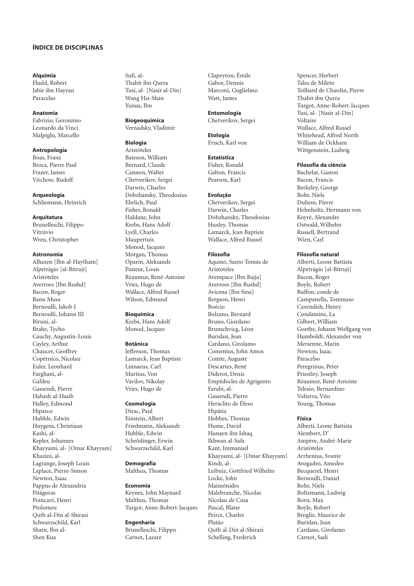### ÍNDICE DE DISCIPLINAS

### Alquimia

Fludd, Robert Jabir ibn Hayyan Paracelso

### Anatomia

Fabrizio, Geronimo Leonardo da Vinci Malpighi, Marcello

Antropologia Boas, Franz Broca, Pierre Paul Frazer, James Virchow, Rudolf

Arqueologia Schliemann, Heinrich

### **Arquitetura**

Brunelleschi, Filippo Vitrúvio Wren, Christopher

Astronomia Alhazen [Ibn al-Haytham] Alpetrágio [al-Bitruji] Aristóteles Averroes [Ibn Rushd] Bacon, Roger Banu Musa Bernoulli, Jakob I Bernoulli, Johann III Biruni, al-Brahe, Tycho Cauchy, Augustin-Louis Cayley, Arthur Chaucer, Geoffrey Copérnico, Nicolau Euler, Leonhard Farghani, al-Galileu Gassendi, Pierre Habash al-Hasib Halley, Edmond Hiparco Hubble, Edwin Huygens, Christiaan Kashi, al-Kepler, Johannes Khayyami, al- [Omar Khayyam] Khazini, al-Lagrange, Joseph Louis Laplace, Pierre-Simon Newton, Isaac Pappus de Alexandria Pitágoras Poincaré, Henri Ptolomeu Qutb al-Din al-Shirazi Schwarzschild, Karl Shatir, Ibn al-Shen Kua

Sufi, al-Thabit ibn Qurra Tusi, al- [Nasir al-Din] Wang Hsi-Shan Yunus, Ibn

Biogeoquímica Vernadsky, Vladimir

#### **Biologia**

Aristóteles Bateson, William Bernard, Claude Cannon, Walter Chetverikov, Sergei Darwin, Charles Dobzhansky, Theodosius Ehrlich, Paul Fisher, Ronald Haldane, John Krebs, Hans Adolf Lyell, Charles Maupertuis Monod, Jacques Morgan, Thomas Oparin, Aleksandr Pasteur, Louis Réaumur, René-Antoine Vries, Hugo de Wallace, Alfred Russel Wilson, Edmund

Bioquímica

Krebs, Hans Adolf Monod, Jacques

#### Botânica

Jefferson, Thomas Lamarck, Jean Baptiste Linnaeus, Carl Martius, Von Vavilov, Nikolay Vries, Hugo de

#### **Cosmologia**

Dirac, Paul Einstein, Albert Friedmann, Aleksandr Hubble, Edwin Schrödinger, Erwin Schwarzschild, Karl

**Demografia** Malthus, Thomas

# Economia Keynes, John Maynard Malthus, Thomas

Turgot, Anne-Robert-Jacques

Engenharia Brunelleschi, Filippo Carnot, Lazare

Clapeyron, Émile Gabor, Dennis Marconi, Guglielmo Watt, James

Entomologia Chetverikov, Sergei

**Etologia** Frisch, Karl von

Estatística Fisher, Ronald Galton, Francis Pearson, Karl

### Evolução

Chetverikov, Sergei Darwin, Charles Dobzhansky, Theodosius Huxley, Thomas Lamarck, Jean Baptiste Wallace, Alfred Russel

#### Filosofia

Aquino, Santo Tomás de Aristóteles Avempace [Ibn Bajja] Averroes [Ibn Rushd] Avicena [Ibn Sina] Bergson, Henri Boécio Bolzano, Bernard Bruno, Giordano Brunschvicg, Léon Buridan, Jean Cardano, Girolamo Comenius, John Amos Comte, Auguste Descartes, René Diderot, Denis Empédocles de Agrigento Farabi, al-Gassendi, Pierre Heráclito de Éfeso Hipátia Hobbes, Thomas Hume, David Hunayn ibn Ishaq Ikhwan al-Safa Kant, Immanuel Khayyami, al- [Omar Khayyam] Kindi, al-Leibniz, Gottfried Wilhelm Locke, John Maimônides Malebranche, Nicolas Nicolau de Cusa Pascal, Blaise Peirce, Charles Platão Qutb al-Din al-Shirazi Schelling, Frederick

Spencer, Herbert Tales de Mileto Teilhard de Chardin, Pierre Thabit ibn Qurra Turgot, Anne-Robert-Jacques Tusi, al- [Nasir al-Din] Voltaire Wallace, Alfred Russel Whitehead, Alfred North William de Ockham Wittgenstein, Ludwig

#### Filosofia da ciência

Bachelar, Gaston Bacon, Francis Berkeley, George Bohr, Niels Duhem, Pierre Helmholtz, Hermann von Koyré, Alexandre Ostwald, Wilhelm Russell, Bertrand Wien, Carl

### Filosofia natural

Alberti, Leone Battista Alpetrágio [al-Bitruji] Bacon, Roger Boyle, Robert Buffon, conde de Campanella, Tommaso Cavendish, Henry Condamine, La Gilbert, William Goethe, Johann Wolfgang von Humboldt, Alexander von Mersenne, Marin Newton, Isaac Paracelso Peregrinus, Peter Priestley, Joseph Réaumur, René-Antoine Telesio, Bernardino Volterra, Vito Young, Thomas

#### Física

Alberti, Leone Battista Alembert, D' Ampère, André-Marie Aristóteles Arrhenius, Svante Avogadro, Amedeo Becquerel, Henri Bernoulli, Daniel Bohr, Niels Boltzmann, Ludwig Born, Max Boyle, Robert Broglie, Maurice de Buridan, Jean Cardano, Girolamo Carnot, Sadi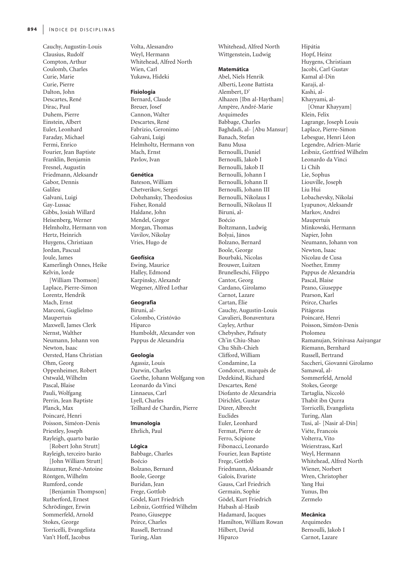Cauchy, Augustin-Louis Clausius, Rudolf Compton, Arthur Coulomb, Charles Curie, Marie Curie, Pierre Dalton, John Descartes, René Dirac, Paul Duhem, Pierre Einstein, Albert Euler, Leonhard Faraday, Michael Fermi, Enrico Fourier, Jean Baptiste Franklin, Benjamin Fresnel, Augustin Friedmann, Aleksandr Gabor, Dennis Galileu Galvani, Luigi Gay-Lussac Gibbs, Josiah Willard Heisenberg, Werner Helmholtz, Hermann von Hertz, Heinrich Huygens, Christiaan Jordan, Pascual Joule, James Kamerlingh Onnes, Heike Kelvin, lorde [William Thomson] Laplace, Pierre-Simon Lorentz, Hendrik Mach, Ernst Marconi, Guglielmo Maupertuis Maxwell, James Clerk Nernst, Walther Neumann, Johann von Newton, Isaac Oersted, Hans Christian Ohm, Georg Oppenheimer, Robert Ostwald, Wilhelm Pascal, Blaise Pauli, Wolfgang Perrin, Jean Baptiste Planck, Max Poincaré, Henri Poisson, Siméon-Denis Priestley, Joseph Rayleigh, quarto barão [Robert John Strutt] Rayleigh, terceiro barão [John William Strutt] Réaumur, René-Antoine Röntgen, Wilhelm Rumford, conde [Benjamin Thompson] Rutherford, Ernest Schrödinger, Erwin Sommerfeld, Arnold Stokes, George Torricelli, Evangelista Van't Hoff, Jacobus

Volta, Alessandro Weyl, Hermann Whitehead, Alfred North Wien, Carl Yukawa, Hideki

#### Fisiologia

Bernard, Claude Breuer, Josef Cannon, Walter Descartes, René Fabrizio, Geronimo Galvani, Luigi Helmholtz, Hermann von Mach, Ernst Pavlov, Ivan

#### Genética

Bateson, William Chetverikov, Sergei Dobzhansky, Theodosius Fisher, Ronald Haldane, John Mendel, Gregor Morgan, Thomas Vavilov, Nikolay Vries, Hugo de

#### Geofísica

Ewing, Maurice Halley, Edmond Karpinsky, Alexandr Wegener, Alfred Lothar

#### Geografia

Biruni, al-Colombo, Cristóvão Hiparco Humboldt, Alexander von Pappus de Alexandria

### Geologia

Agassiz, Louis Darwin, Charles Goethe, Johann Wolfgang von Leonardo da Vinci Linnaeus, Carl Lyell, Charles Teilhard de Chardin, Pierre

### Imunologia

Ehrlich, Paul

#### Lógica

Babbage, Charles Boécio Bolzano, Bernard Boole, George Buridan, Jean Frege, Gottlob Gödel, Kurt Friedrich Leibniz, Gottfried Wilhelm Peano, Giuseppe Peirce, Charles Russell, Bertrand Turing, Alan

Whitehead, Alfred North Wittgenstein, Ludwig

# Matemática

Abel, Niels Henrik Alberti, Leone Battista Alembert, D' Alhazen [Ibn al-Haytham] Ampère, André-Marie Arquimedes Babbage, Charles Baghdadi, al- [Abu Mansur] Banach, Stefan Banu Musa Bernoulli, Daniel Bernoulli, Jakob I Bernoulli, Jakob II Bernoulli, Johann I Bernoulli, Johann II Bernoulli, Johann III Bernoulli, Nikolaus I Bernoulli, Nikolaus II Biruni, al-Boécio Boltzmann, Ludwig Bolyai, János Bolzano, Bernard Boole, George Bourbaki, Nicolas Brouwer, Luitzen Brunelleschi, Filippo Cantor, Georg Cardano, Girolamo Carnot, Lazare Cartan, Élie Cauchy, Augustin-Louis Cavalieri, Bonaventura Cayley, Arthur Chebyshev, Pafnuty Ch'in Chiu-Shao Chu Shih-Chieh Clifford, William Condamine, La Condorcet, marquês de Dedekind, Richard Descartes, René Diofanto de Alexandria Dirichlet, Gustav Dürer, Albrecht Euclides Euler, Leonhard Fermat, Pierre de Ferro, Scipione Fibonacci, Leonardo Fourier, Jean Baptiste Frege, Gottlob Friedmann, Aleksandr Galois, Evariste Gauss, Carl Friedrich Germain, Sophie Gödel, Kurt Friedrich Habash al-Hasib Hadamard, Jacques Hamilton, William Rowan Hilbert, David Hiparco

Hipátia Hopf, Heinz Huygens, Christiaan Jacobi, Carl Gustav Kamal al-Din Karaji, al-Kashi, al-Khayyami, al- [Omar Khayyam] Klein, Felix Lagrange, Joseph Louis Laplace, Pierre-Simon Lebesgue, Henri Léon Legendre, Adrien-Marie Leibniz, Gottfried Wilhelm Leonardo da Vinci Li Chih Lie, Sophus Liouville, Joseph Liu Hui Lobachevsky, Nikolai Lyapunov, Aleksandr Markov, Andrei Maupertuis Minkowski, Hermann Napier, John Neumann, Johann von Newton, Isaac Nicolau de Cusa Noether, Emmy Pappus de Alexandria Pascal, Blaise Peano, Giuseppe Pearson, Karl Peirce, Charles Pitágoras Poincaré, Henri Poisson, Siméon-Denis Ptolomeu Ramanujan, Srinivasa Aaiyangar Riemann, Bernhard Russell, Bertrand Saccheri, Giovanni Girolamo Samawal, al-Sommerfeld, Arnold Stokes, George Tartaglia, Niccoló Thabit ibn Qurra Torricelli, Evangelista Turing, Alan Tusi, al- [Nasir al-Din] Viéte, Francois Volterra, Vito Weierstrass, Karl Weyl, Hermann Whitehead, Alfred North Wiener, Norbert Wren, Christopher Yang Hui Yunus, Ibn Zermelo

#### Mecânica

Arquimedes Bernoulli, Jakob I Carnot, Lazare